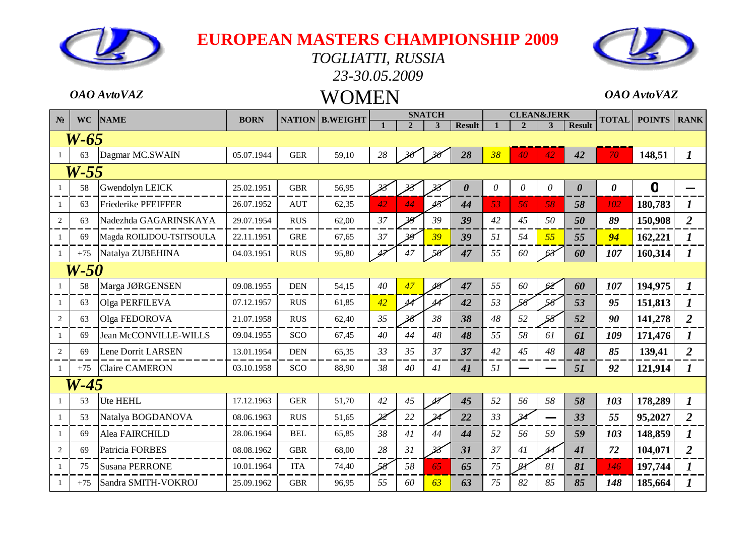#### *TOGLIATTI, RUSSIA 23-30.05.2009*



### *OAO AvtoVAZ* WOMEN *OAO AvtoVAZ*

|                |           |                              |             |               |                 |                          |                | <b>SNATCH</b>            |                       |    | <b>CLEAN&amp;JERK</b>    |    |                       |                       |                |                  |
|----------------|-----------|------------------------------|-------------|---------------|-----------------|--------------------------|----------------|--------------------------|-----------------------|----|--------------------------|----|-----------------------|-----------------------|----------------|------------------|
| N <sub>2</sub> | <b>WC</b> | <b>NAME</b>                  | <b>BORN</b> | <b>NATION</b> | <b>B.WEIGHT</b> |                          | $\overline{2}$ | $\overline{\mathbf{3}}$  | <b>Result</b>         |    | $\overline{2}$           | 3  | <b>Result</b>         | <b>TOTAL</b>          | <b>POINTS</b>  | <b>RANK</b>      |
|                | W-65      |                              |             |               |                 |                          |                |                          |                       |    |                          |    |                       |                       |                |                  |
|                | 63        | Dagmar MC.SWAIN              | 05.07.1944  | <b>GER</b>    | 59,10           | 28                       |                | $\mathcal{P}$            | 28                    | 38 | 40                       | 42 | 42                    | 70                    | 148,51         | $\bm{l}$         |
|                | $W-55$    |                              |             |               |                 |                          |                |                          |                       |    |                          |    |                       |                       |                |                  |
|                | 58        | Gwendolyn LEICK              | 25.02.1951  | <b>GBR</b>    | 56,95           | 38                       |                |                          | $\boldsymbol{\theta}$ | 0  | $\theta$                 | 0  | $\boldsymbol{\theta}$ | $\boldsymbol{\theta}$ | $\overline{0}$ |                  |
| $\overline{1}$ | 63        | Friederike PFEIFFER          | 26.07.1952  | <b>AUT</b>    | 62,35           | 42                       | 44             | 43                       | 44                    | 53 | 56                       | 58 | 58                    | 102                   | 180,783        | $\bm{l}$         |
| 2              | 63        | Nadezhda GAGARINSKAYA        | 29.07.1954  | <b>RUS</b>    | 62,00           | 37                       | 39             | 39                       | 39                    | 42 | 45                       | 50 | 50                    | 89                    | 150,908        | $\overline{2}$   |
| -1             | 69        | Magda ROILIDOU-TSITSOULA     | 22.11.1951  | <b>GRE</b>    | 67,65           | 37                       | 39             | 39                       | 39                    | 51 | 54                       | 55 | 55                    | 94                    | 162,221        |                  |
| $\overline{1}$ | $+75$     | Natalya ZUBEHINA             | 04.03.1951  | <b>RUS</b>    | 95,80           | 47                       | 47             |                          | 47                    | 55 | 60                       | 63 | 60                    | 107                   | 160,314        | $\boldsymbol{l}$ |
|                | W-50      |                              |             |               |                 |                          |                |                          |                       |    |                          |    |                       |                       |                |                  |
|                | 58        | Marga JØRGENSEN              | 09.08.1955  | <b>DEN</b>    | 54,15           | 40                       | 47             | 48                       | 47                    | 55 | 60                       | 62 | 60                    | 107                   | 194,975        | $\bm{l}$         |
| $\overline{1}$ | 63        | Olga PERFILEVA               | 07.12.1957  | <b>RUS</b>    | 61,85           | 42                       | 44             | 44                       | 42                    | 53 | 56                       | 56 | 53                    | 95                    | 151,813        | $\bm{l}$         |
| $\overline{2}$ | 63        | Olga FEDOROVA                | 21.07.1958  | <b>RUS</b>    | 62,40           | 35                       | 38             | 38                       | 38                    | 48 | 52                       | 58 | 52                    | 90                    | 141,278        | $\overline{2}$   |
| -1             | 69        | <b>Jean McCONVILLE-WILLS</b> | 09.04.1955  | SCO           | 67,45           | 40                       | 44             | 48                       | 48                    | 55 | 58                       | 61 | 61                    | 109                   | 171,476        | 1                |
| 2              | 69        | Lene Dorrit LARSEN           | 13.01.1954  | <b>DEN</b>    | 65,35           | 33                       | 35             | 37                       | 37                    | 42 | 45                       | 48 | 48                    | 85                    | 139,41         | $\overline{2}$   |
|                | $+75$     | <b>Claire CAMERON</b>        | 03.10.1958  | SCO           | 88,90           | 38                       | 40             | 41                       | 41                    | 51 |                          |    | 51                    | 92                    | 121,914        | 1                |
|                | $W-45$    |                              |             |               |                 |                          |                |                          |                       |    |                          |    |                       |                       |                |                  |
| -1             | 53        | Ute HEHL                     | 17.12.1963  | <b>GER</b>    | 51,70           | 42                       | 45             | تمک                      | 45                    | 52 | 56                       | 58 | 58                    | 103                   | 178,289        | $\boldsymbol{l}$ |
|                | 53        | Natalya BOGDANOVA            | 08.06.1963  | <b>RUS</b>    | 51,65           | $\overline{\mathscr{Z}}$ | 22             |                          | 22                    | 33 | $\overline{\mathcal{A}}$ |    | 33                    | 55                    | 95,2027        | $\overline{2}$   |
| $\overline{1}$ | 69        | Alea FAIRCHILD               | 28.06.1964  | <b>BEL</b>    | 65,85           | 38                       | 41             | 44                       | 44                    | 52 | 56                       | 59 | 59                    | 103                   | 148,859        |                  |
| 2              | 69        | Patricia FORBES              | 08.08.1962  | <b>GBR</b>    | 68,00           | 28                       | 31             | $\overline{\mathcal{Z}}$ | 31                    | 37 | 41                       | 44 | 41                    | 72                    | 104,071        | $\overline{2}$   |
|                | 75        | <b>Susana PERRONE</b>        | 10.01.1964  | <b>ITA</b>    | 74,40           | 58                       | 58             | 65                       | 65                    | 75 | 81                       | 81 | 81                    | 146                   | 197,744        | 1                |
| -1             | $+75$     | Sandra SMITH-VOKROJ          | 25.09.1962  | <b>GBR</b>    | 96,95           | 55                       | 60             | 63                       | 63                    | 75 | 82                       | 85 | 85                    | 148                   | 185,664        |                  |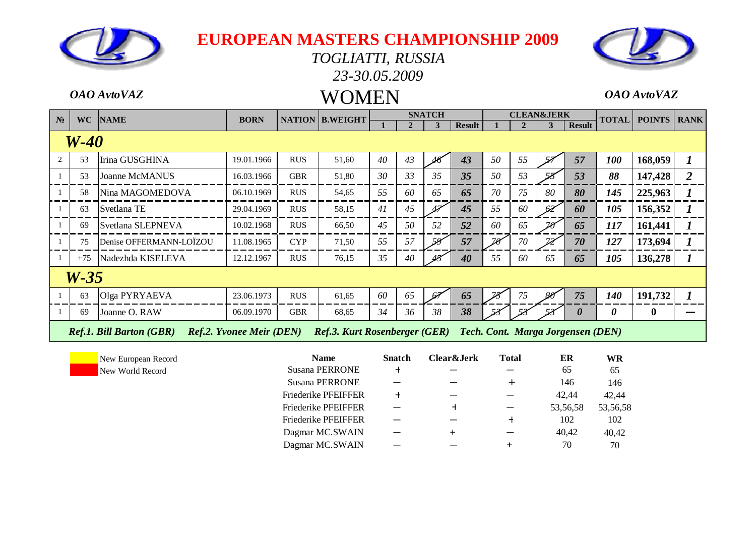

#### *TOGLIATTI, RUSSIA 23-30.05.2009*



# *OAO AvtoVAZ* WOMEN *OAO AvtoVAZ*

| N <sub>2</sub> | <b>WC</b> | <b>NAME</b>                     | <b>BORN</b>                     |            | <b>NATION B.WEIGHT</b>                                          |    |    | <b>SNATCH</b> |               |    |    | <b>CLEAN&amp;JERK</b> |                       | <b>TOTAL</b>          | <b>POINTS</b>    | <b>RANK</b> |
|----------------|-----------|---------------------------------|---------------------------------|------------|-----------------------------------------------------------------|----|----|---------------|---------------|----|----|-----------------------|-----------------------|-----------------------|------------------|-------------|
|                |           |                                 |                                 |            |                                                                 |    |    | 3             | <b>Result</b> |    |    |                       | <b>Result</b>         |                       |                  |             |
|                | $W-40$    |                                 |                                 |            |                                                                 |    |    |               |               |    |    |                       |                       |                       |                  |             |
|                | 53        | Irina GUSGHINA                  | 19.01.1966                      | <b>RUS</b> | 51,60                                                           | 40 | 43 |               | 43            | 50 | 55 |                       | 57                    | 100                   | 168,059          |             |
|                | 53        | <b>Joanne McMANUS</b>           | 16.03.1966                      | <b>GBR</b> | 51,80                                                           | 30 | 33 | 35            | 35            | 50 | 53 |                       | 53                    | 88                    | 147,428          | 2           |
|                | 58        | Nina MAGOMEDOVA                 | 06.10.1969                      | <b>RUS</b> | 54,65                                                           | 55 | 60 | 65            | 65            | 70 | 75 | 80                    | 80                    | 145                   | 225,963          |             |
|                | 63        | Svetlana TE                     | 29.04.1969                      | <b>RUS</b> | 58,15                                                           | 41 | 45 |               | 45            | 55 | 60 | 62                    | 60                    | 105                   | 156,352          |             |
|                | 69        | Svetlana SLEPNEVA               | 10.02.1968                      | <b>RUS</b> | 66,50                                                           | 45 | 50 | 52            | 52            | 60 | 65 | 78                    | 65                    | 117                   | 161,441          |             |
|                | 75        | Denise OFFERMANN-LOÏZOU         | 11.08.1965                      | <b>CYP</b> | 71,50                                                           | 55 | 57 | 59            | 57            | 70 | 70 |                       | 70                    | 127                   | 173,694          |             |
|                | $+75$     | Nadezhda KISELEVA               | 12.12.1967                      | <b>RUS</b> | 76,15                                                           | 35 | 40 |               | 40            | 55 | 60 | 65                    | 65                    | 105                   | 136,278          |             |
|                | $W-35$    |                                 |                                 |            |                                                                 |    |    |               |               |    |    |                       |                       |                       |                  |             |
|                | 63        | Olga PYRYAEVA                   | 23.06.1973                      | <b>RUS</b> | 61,65                                                           | 60 | 65 |               | 65            |    | 75 | -86                   | 75                    | <b>140</b>            | 191,732          |             |
|                | 69        | Joanne O. RAW                   | 06.09.1970                      | <b>GBR</b> | 68,65                                                           | 34 | 36 | 38            | 38            |    |    |                       | $\boldsymbol{\theta}$ | $\boldsymbol{\theta}$ | $\boldsymbol{0}$ |             |
|                |           | <b>Ref.1. Bill Barton (GBR)</b> | <b>Ref.2. Yvonee Meir (DEN)</b> |            | Ref.3. Kurt Rosenberger (GER) Tech. Cont. Marga Jorgensen (DEN) |    |    |               |               |    |    |                       |                       |                       |                  |             |

| <b>Name</b>                | <b>Snatch</b> | Clear&Jerk | <b>Total</b> | ER       | WR       |
|----------------------------|---------------|------------|--------------|----------|----------|
| <b>Susana PERRONE</b>      | $\ddot{}$     |            |              | 65       | 65       |
| <b>Susana PERRONE</b>      |               |            |              | 146      | 146      |
| <b>Friederike PFEIFFER</b> | $\div$        |            |              | 42.44    | 42,44    |
| <b>Friederike PFEIFFER</b> |               |            |              | 53,56,58 | 53,56,58 |
| <b>Friederike PFEIFFER</b> |               |            |              | 102      | 102      |
| Dagmar MC.SWAIN            |               |            |              | 40,42    | 40,42    |
| Dagmar MC.SWAIN            |               |            | ┶            | 70       | 70       |
|                            |               |            |              |          |          |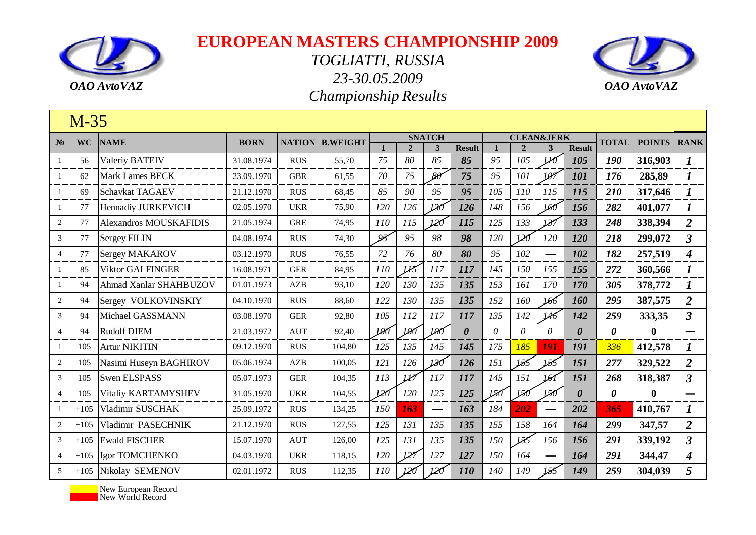



|                 | $M-35$    |                               |             |               |                 |     |                |               |                       |              |                       |                          |                       |                       |                  |                             |
|-----------------|-----------|-------------------------------|-------------|---------------|-----------------|-----|----------------|---------------|-----------------------|--------------|-----------------------|--------------------------|-----------------------|-----------------------|------------------|-----------------------------|
| $N_2$           | <b>WC</b> | <b>NAME</b>                   | <b>BORN</b> | <b>NATION</b> | <b>B.WEIGHT</b> |     |                | <b>SNATCH</b> |                       |              | <b>CLEAN&amp;JERK</b> |                          |                       | <b>TOTAL</b>          | <b>POINTS</b>    | <b>RANK</b>                 |
|                 |           |                               |             |               |                 |     | $\overline{2}$ | 3             | <b>Result</b>         | $\mathbf{1}$ | $\mathbf{2}$          |                          | <b>Result</b>         |                       |                  |                             |
| 1               | 56        | <b>Valeriy BATEIV</b>         | 31.08.1974  | <b>RUS</b>    | 55,70           | 75  | 80             | 85            | 85                    | 95           | 105                   | W                        | 105                   | 190                   | 316,903          | 1                           |
| -1              | 62        | <b>Mark Lames BECK</b>        | 23.09.1970  | <b>GBR</b>    | 61,55           | 70  | 75             | $80^{\circ}$  | 75                    | 95           | 101                   | 107                      | 101                   | 176                   | 285,89           | $\boldsymbol{I}$            |
| -1              | 69        | Schavkat TAGAEV               | 21.12.1970  | <b>RUS</b>    | 68,45           | 85  | 90             | 95            | 95                    | 105          | 110                   | 115                      | 115                   | 210                   | 317,646          | $\boldsymbol{l}$            |
| 1               | 77        | Hennadiy JURKEVICH            | 02.05.1970  | <b>UKR</b>    | 75,90           | 120 | 126            | 130           | 126                   | 148          | 156                   | 160                      | 156                   | 282                   | 401,077          | 1                           |
| $\mathbf{2}$    | 77        | <b>Alexandros MOUSKAFIDIS</b> | 21.05.1974  | <b>GRE</b>    | 74,95           | 110 | 115            | 120           | 115                   | 125          | 133                   | 137                      | 133                   | 248                   | 338,394          | $\overline{2}$              |
| 3               | 77        | <b>Sergey FILIN</b>           | 04.08.1974  | <b>RUS</b>    | 74,30           | 95  | 95             | 98            | 98                    | 120          | 120                   | 120                      | 120                   | 218                   | 299,072          | $\overline{3}$              |
| $\overline{4}$  | 77        | Sergey MAKAROV                | 03.12.1970  | <b>RUS</b>    | 76,55           | 72  | 76             | 80            | 80                    | 95           | 102                   | $\overline{\phantom{m}}$ | 102                   | 182                   | 257,519          | $\overline{\boldsymbol{4}}$ |
| -1              | 85        | <b>Viktor GALFINGER</b>       | 16.08.1971  | <b>GER</b>    | 84,95           | 110 | $\mu$          | 117           | 117                   | 145          | 150                   | 155                      | 155                   | 272                   | 360,566          | $\bm{l}$                    |
| -1              | 94        | Ahmad Xanlar SHAHBUZOV        | 01.01.1973  | AZB           | 93,10           | 120 | 130            | 135           | 135                   | 153          | 161                   | 170                      | 170                   | 305                   | 378,772          | 1                           |
| 2               | 94        | Sergey VOLKOVINSKIY           | 04.10.1970  | <b>RUS</b>    | 88,60           | 122 | 130            | 135           | 135                   | 152          | 160                   | 166                      | 160                   | 295                   | 387,575          | $\overline{2}$              |
| 3               | 94        | Michael GASSMANN              | 03.08.1970  | <b>GER</b>    | 92,80           | 105 | 112            | 117           | 117                   | 135          | 142                   | 146                      | 142                   | 259                   | 333,35           | $\overline{\mathbf{3}}$     |
| $\overline{4}$  | 94        | <b>Rudolf DIEM</b>            | 21.03.1972  | <b>AUT</b>    | 92,40           | 100 | 100            | 100           | $\boldsymbol{\theta}$ | $\theta$     | $\theta$              | 0                        | $\boldsymbol{\theta}$ | $\boldsymbol{\theta}$ | $\boldsymbol{0}$ |                             |
| -1              | 105       | <b>Artur NIKITIN</b>          | 09.12.1970  | <b>RUS</b>    | 104,80          | 125 | 135            | 145           | 145                   | 175          | 185                   | 191                      | 191                   | 336                   | 412,578          | 1                           |
| 2               | 105       | Nasimi Huseyn BAGHIROV        | 05.06.1974  | <b>AZB</b>    | 100,05          | 121 | 126            | 130           | 126                   | 151          | 155                   | 155                      | 151                   | 277                   | 329,522          | $\overline{2}$              |
| 3               | 105       | <b>Swen ELSPASS</b>           | 05.07.1973  | <b>GER</b>    | 104,35          | 113 | $\nu$          | 117           | 117                   | 145          | 151                   | 161                      | 151                   | 268                   | 318,387          | $\overline{\mathbf{3}}$     |
| $\overline{4}$  | 105       | Vitaliy KARTAMYSHEV           | 31.05.1970  | <b>UKR</b>    | 104,55          | 120 | 120            | 125           | 125                   | 150          | 150                   | 150                      | $\boldsymbol{\theta}$ | 0                     | $\bf{0}$         |                             |
|                 | $+105$    | Vladimir SUSCHAK              | 25.09.1972  | <b>RUS</b>    | 134,25          | 150 | 163            | —             | 163                   | 184          | 202                   |                          | 202                   | 365                   | 410,767          | $\boldsymbol{l}$            |
| $\overline{2}$  | $+105$    | Vladimir PASECHNIK            | 21.12.1970  | <b>RUS</b>    | 127,55          | 125 | 131            | 135           | 135                   | 155          | 158                   | 164                      | 164                   | 299                   | 347,57           | $\overline{2}$              |
| 3               | $+105$    | <b>Ewald FISCHER</b>          | 15.07.1970  | <b>AUT</b>    | 126,00          | 125 | 131            | 135           | 135                   | 150          | 155                   | 156                      | 156                   | 291                   | 339,192          | $\overline{\mathbf{3}}$     |
| $\overline{4}$  | $+105$    | Igor TOMCHENKO                | 04.03.1970  | <b>UKR</b>    | 118,15          | 120 | 127            | 127           | 127                   | 150          | 164                   |                          | 164                   | 291                   | 344,47           | 4                           |
| $5\overline{)}$ | $+105$    | Nikolay SEMENOV               | 02.01.1972  | <b>RUS</b>    | 112,35          | 110 | 120            | 120           | <i>110</i>            | 140          | 149                   | 155                      | 149                   | 259                   | 304,039          | 5                           |

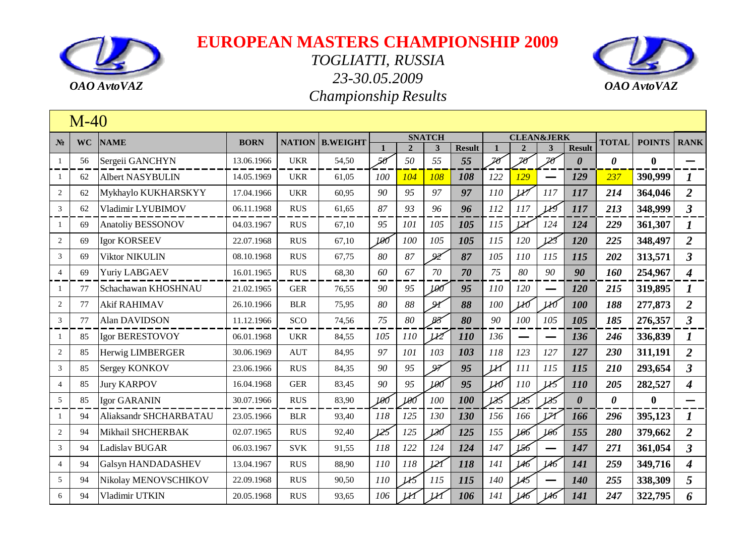



|                | $M-40$    |                           |             |            |                        |     |                |                |               |                          |                          |                     |                       |                       |               |                             |
|----------------|-----------|---------------------------|-------------|------------|------------------------|-----|----------------|----------------|---------------|--------------------------|--------------------------|---------------------|-----------------------|-----------------------|---------------|-----------------------------|
| $N_2$          | <b>WC</b> | <b>NAME</b>               | <b>BORN</b> |            | <b>NATION B.WEIGHT</b> |     |                | <b>SNATCH</b>  |               |                          | <b>CLEAN&amp;JERK</b>    |                     |                       | <b>TOTAL</b>          | <b>POINTS</b> | <b>RANK</b>                 |
|                |           |                           |             |            |                        |     | $\overline{2}$ | $\mathbf{3}$   | <b>Result</b> |                          | $\mathfrak{D}$           | 3                   | <b>Result</b>         |                       |               |                             |
| $\mathbf{1}$   | 56        | Sergeii GANCHYN           | 13.06.1966  | <b>UKR</b> | 54,50                  | 56  | 50             | 55             | 55            | $\overline{\mathcal{D}}$ | $\overline{\mathcal{X}}$ | $\mathcal{Z}\theta$ | $\boldsymbol{\theta}$ | $\boldsymbol{\theta}$ | $\bf{0}$      |                             |
| 1              | 62        | <b>Albert NASYBULIN</b>   | 14.05.1969  | <b>UKR</b> | 61,05                  | 100 | 104            | 108            | 108           | 122                      | <u>129</u>               |                     | 129                   | 237                   | 390,999       |                             |
| 2              | 62        | Mykhaylo KUKHARSKYY       | 17.04.1966  | <b>UKR</b> | 60,95                  | 90  | 95             | 97             | 97            | 110                      | U'                       | <i>117</i>          | 117                   | 214                   | 364,046       | $\overline{2}$              |
| $\sqrt{3}$     | 62        | Vladimir LYUBIMOV         | 06.11.1968  | <b>RUS</b> | 61,65                  | 87  | 93             | 96             | 96            | 112                      | 117                      | W                   | 117                   | 213                   | 348,999       | $\mathbf{3}$                |
| 1              | 69        | <b>Anatoliy BESSONOV</b>  | 04.03.1967  | <b>RUS</b> | 67,10                  | 95  | 101            | 105            | 105           | 115                      | <u> 121</u>              | 124                 | 124                   | 229                   | 361,307       | 1                           |
| $\sqrt{2}$     | 69        | <b>Igor KORSEEV</b>       | 22.07.1968  | <b>RUS</b> | 67,10                  | 100 | 100            | 105            | 105           | 115                      | 120                      | 123                 | 120                   | 225                   | 348,497       | $\overline{2}$              |
| 3              | 69        | <b>Viktor NIKULIN</b>     | 08.10.1968  | <b>RUS</b> | 67,75                  | 80  | 87             | 92             | 87            | 105                      | 110                      | 115                 | 115                   | 202                   | 313,571       | $\overline{3}$              |
| $\overline{4}$ | 69        | <b>Yuriy LABGAEV</b>      | 16.01.1965  | <b>RUS</b> | 68,30                  | 60  | 67             | 70             | 70            | 75                       | 80                       | 90                  | 90                    | 160                   | 254,967       | $\overline{\boldsymbol{4}}$ |
| $\mathbf{1}$   | 77        | Schachawan KHOSHNAU       | 21.02.1965  | <b>GER</b> | 76,55                  | 90  | 95             | 190            | 95            | 110                      | 120                      |                     | 120                   | 215                   | 319,895       | 1                           |
| 2              | 77        | <b>Akif RAHIMAV</b>       | 26.10.1966  | <b>BLR</b> | 75,95                  | 80  | 88             | $\mathcal{A}$  | 88            | 100                      | ИÓ                       | lЮ                  | 100                   | 188                   | 277,873       | 2                           |
| 3              | 77        | Alan DAVIDSON             | 11.12.1966  | SCO        | 74,56                  | 75  | $80\,$         | $85^{\circ}$   | 80            | 90                       | 100                      | 105                 | 105                   | 185                   | 276,357       | $\mathbf{3}$                |
| $\mathbf{1}$   | 85        | <b>Igor BERESTOVOY</b>    | 06.01.1968  | <b>UKR</b> | 84,55                  | 105 | 110            | $\overline{M}$ | <b>110</b>    | 136                      |                          |                     | 136                   | 246                   | 336,839       | 1                           |
| 2              | 85        | Herwig LIMBERGER          | 30.06.1969  | <b>AUT</b> | 84,95                  | 97  | 101            | 103            | 103           | 118                      | 123                      | 127                 | 127                   | 230                   | 311,191       | $\overline{2}$              |
| 3              | 85        | Sergey KONKOV             | 23.06.1966  | <b>RUS</b> | 84,35                  | 90  | 95             | $\mathcal{Q}$  | 95            | lИ                       | 111                      | 115                 | 115                   | 210                   | 293,654       | $\mathbf{3}$                |
| $\overline{4}$ | 85        | <b>Jury KARPOV</b>        | 16.04.1968  | <b>GER</b> | 83,45                  | 90  | 95             | 100            | 95            | lЮ                       | 110                      |                     | <b>110</b>            | 205                   | 282,527       | $\boldsymbol{4}$            |
| $\mathfrak{S}$ | 85        | <b>Igor GARANIN</b>       | 30.07.1966  | <b>RUS</b> | 83,90                  | 100 | 100            | 100            | 100           | 185                      | 185                      | 185                 | $\boldsymbol{\theta}$ | $\boldsymbol{\theta}$ | $\bf{0}$      |                             |
| 1              | 94        | Aliaksandr SHCHARBATAU    | 23.05.1966  | <b>BLR</b> | 93,40                  | 118 | 125            | 130            | 130           | 156                      | 166                      | $\mathcal{V}$       | 166                   | 296                   | 395,123       |                             |
| 2              | 94        | Mikhail SHCHERBAK         | 02.07.1965  | <b>RUS</b> | 92,40                  | 125 | 125            | 130            | 125           | 155                      | 166                      | 166                 | 155                   | 280                   | 379,662       | $\overline{2}$              |
| 3              | 94        | Ladislav BUGAR            | 06.03.1967  | <b>SVK</b> | 91,55                  | 118 | 122            | 124            | 124           | 147                      | 156                      |                     | 147                   | 271                   | 361,054       | $\mathfrak{Z}$              |
| $\overline{4}$ | 94        | <b>Galsyn HANDADASHEV</b> | 13.04.1967  | <b>RUS</b> | 88,90                  | 110 | 118            | 121            | 118           | 141                      | 146                      | 146                 | 141                   | 259                   | 349,716       | 4                           |
| 5              | 94        | Nikolay MENOVSCHIKOV      | 22.09.1968  | <b>RUS</b> | 90,50                  | 110 | 115            | 115            | 115           | 140                      | 145                      |                     | 140                   | 255                   | 338,309       | 5                           |
| 6              | 94        | Vladimir UTKIN            | 20.05.1968  | <b>RUS</b> | 93,65                  | 106 |                | M              | 106           | 141                      | 146                      | 146                 | 141                   | 247                   | 322,795       | 6                           |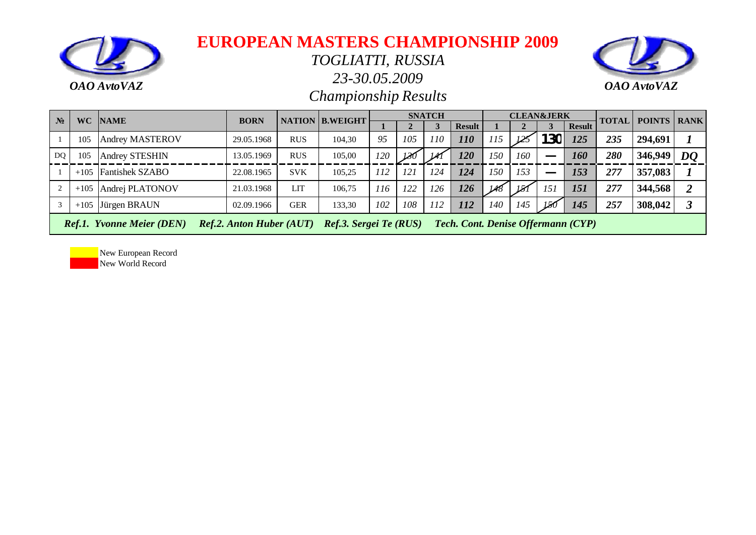

#### *TOGLIATTI, RUSSIA*

*23-30.05.2009*



*Championship Results*

| $N_2$          |                                                                                                                                            | <b>WC NAME</b>         | <b>BORN</b> |            | <b>NATION B.WEIGHT</b> |            |     | <b>SNATCH</b> |               |     |     | <b>CLEAN&amp;JERK</b> |               | <b>TOTAL</b> | <b>POINTS RANK</b> |    |
|----------------|--------------------------------------------------------------------------------------------------------------------------------------------|------------------------|-------------|------------|------------------------|------------|-----|---------------|---------------|-----|-----|-----------------------|---------------|--------------|--------------------|----|
|                |                                                                                                                                            |                        |             |            |                        |            |     |               | <b>Result</b> |     |     |                       | <b>Result</b> |              |                    |    |
|                | 105                                                                                                                                        | <b>Andrey MASTEROV</b> | 29.05.1968  | <b>RUS</b> | 104,30                 | 95         | 105 | 110           | 110           | 115 | 125 | 130                   | 125           | 235          | 294,691            |    |
| D <sub>O</sub> | 105                                                                                                                                        | Andrey STESHIN         | 13.05.1969  | <b>RUS</b> | 105,00                 | 120        | 130 | M             | 120           | 150 | 160 |                       | 160           | 280          | 346,949            | DQ |
|                | $+105$                                                                                                                                     | <b>Fantishek SZABO</b> | 22.08.1965  | <b>SVK</b> | 105.25                 | <i>112</i> | 121 | 124           | 124           | 150 | 153 |                       | 153           | 277          | 357,083            |    |
|                | $+105$                                                                                                                                     | Andrej PLATONOV        | 21.03.1968  | LIT        | 106,75                 | 116        | 122 | 126           | 126           | 148 |     | 151                   | <b>151</b>    | 277          | 344,568            |    |
|                | $+105$                                                                                                                                     | Jürgen BRAUN           | 02.09.1966  | GER        | 133,30                 | 102        | 108 | 112           | 112           | 140 | 145 | $150^{\circ}$         | 145           | 257          | 308,042            |    |
|                | <b>Tech. Cont. Denise Offermann (CYP)</b><br><b>Ref.1. Yvonne Meier (DEN)</b><br><b>Ref.2. Anton Huber (AUT)</b><br>Ref.3. Sergei Te (RUS) |                        |             |            |                        |            |     |               |               |     |     |                       |               |              |                    |    |

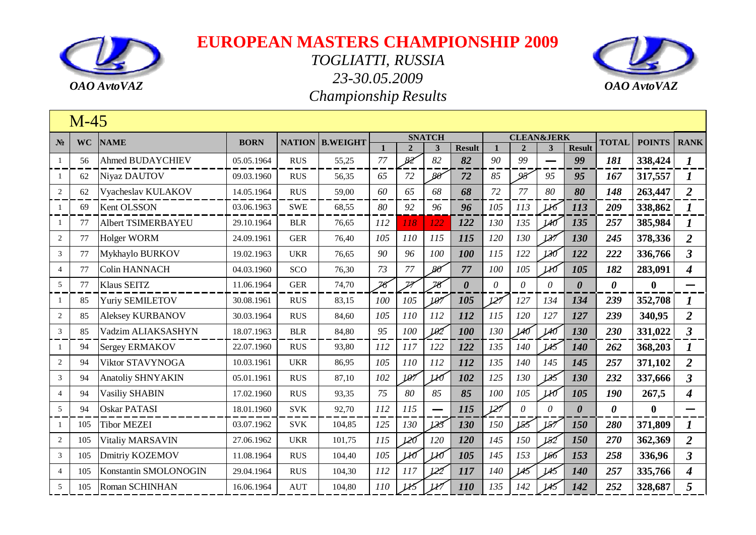



|                | $M-45$    |                           |             |               |                 |     |                |                          |                       |              |                       |          |                       |                       |               |                             |
|----------------|-----------|---------------------------|-------------|---------------|-----------------|-----|----------------|--------------------------|-----------------------|--------------|-----------------------|----------|-----------------------|-----------------------|---------------|-----------------------------|
| N <sub>2</sub> | <b>WC</b> | <b>NAME</b>               | <b>BORN</b> | <b>NATION</b> | <b>B.WEIGHT</b> |     |                | <b>SNATCH</b>            |                       |              | <b>CLEAN&amp;JERK</b> |          |                       | <b>TOTAL</b>          | <b>POINTS</b> | <b>RANK</b>                 |
|                |           |                           |             |               |                 |     | $\overline{2}$ | $\mathbf{3}$             | <b>Result</b>         | $\mathbf{1}$ | $\overline{2}$        | 3        | <b>Result</b>         |                       |               |                             |
| 1              | 56        | <b>Ahmed BUDAYCHIEV</b>   | 05.05.1964  | <b>RUS</b>    | 55,25           | 77  | 82             | 82                       | 82                    | 90           | 99                    |          | 99                    | 181                   | 338,424       | $\boldsymbol{l}$            |
| -1             | 62        | Niyaz DAUTOV              | 09.03.1960  | <b>RUS</b>    | 56,35           | 65  | 72             | $80^{\circ}$             | 72                    | 85           | 95                    | 95       | 95                    | 167                   | 317,557       | $\bm{l}$                    |
| $\overline{2}$ | 62        | Vyacheslav KULAKOV        | 14.05.1964  | <b>RUS</b>    | 59,00           | 60  | 65             | 68                       | 68                    | 72           | 77                    | 80       | 80                    | 148                   | 263,447       | $\overline{2}$              |
| 1              | 69        | Kent OLSSON               | 03.06.1963  | <b>SWE</b>    | 68,55           | 80  | 92             | 96                       | 96                    | 105          | 113                   | 116      | 113                   | 209                   | 338,862       | $\bm{l}$                    |
| 1              | 77        | <b>Albert TSIMERBAYEU</b> | 29.10.1964  | <b>BLR</b>    | 76,65           | 112 | 118            | 122                      | 122                   | 130          | 135                   | 140      | 135                   | 257                   | 385,984       | $\bm{l}$                    |
| 2              | 77        | Holger WORM               | 24.09.1961  | <b>GER</b>    | 76,40           | 105 | 110            | 115                      | 115                   | 120          | 130                   | 127      | 130                   | 245                   | 378,336       | $\overline{2}$              |
| $\overline{3}$ | 77        | Mykhaylo BURKOV           | 19.02.1963  | <b>UKR</b>    | 76,65           | 90  | 96             | 100                      | 100                   | 115          | 122                   | 130      | 122                   | 222                   | 336,766       | $\mathfrak{Z}$              |
| $\overline{4}$ | 77        | <b>Colin HANNACH</b>      | 04.03.1960  | SCO           | 76,30           | 73  | 77             | $80^{\circ}$             | 77                    | 100          | 105                   | 110      | 105                   | 182                   | 283,091       | $\overline{\boldsymbol{4}}$ |
| 5              | 77        | <b>Klaus SEITZ</b>        | 11.06.1964  | <b>GER</b>    | 74,70           | 76  | Z              | 78                       | $\boldsymbol{\theta}$ | $\theta$     | $\theta$              | $\theta$ | $\boldsymbol{\theta}$ | $\boldsymbol{\theta}$ | $\bf{0}$      |                             |
| $\mathbf{1}$   | 85        | <b>Yuriy SEMILETOV</b>    | 30.08.1961  | <b>RUS</b>    | 83,15           | 100 | 105            | 107                      | 105                   | 127          | 127                   | 134      | 134                   | 239                   | 352,708       | 1                           |
| 2              | 85        | Aleksey KURBANOV          | 30.03.1964  | <b>RUS</b>    | 84,60           | 105 | 110            | 112                      | 112                   | 115          | 120                   | 127      | 127                   | 239                   | 340,95        | $\overline{2}$              |
| 3              | 85        | Vadzim ALIAKSASHYN        | 18.07.1963  | <b>BLR</b>    | 84,80           | 95  | 100            | 102                      | 100                   | 130          | 140                   | 140      | 130                   | 230                   | 331,022       | $\mathfrak{Z}$              |
| $\mathbf{1}$   | 94        | Sergey ERMAKOV            | 22.07.1960  | <b>RUS</b>    | 93,80           | 112 | 117            | 122                      | 122                   | 135          | 140                   | 145      | <b>140</b>            | 262                   | 368,203       | $\bm{l}$                    |
| $\overline{2}$ | 94        | Viktor STAVYNOGA          | 10.03.1961  | <b>UKR</b>    | 86,95           | 105 | 110            | 112                      | 112                   | 135          | 140                   | 145      | 145                   | 257                   | 371,102       | $\overline{2}$              |
| 3              | 94        | <b>Anatoliy SHNYAKIN</b>  | 05.01.1961  | <b>RUS</b>    | 87,10           | 102 | 107            | 110                      | 102                   | 125          | 130                   | 125      | 130                   | 232                   | 337,666       | $\mathbf{3}$                |
| $\overline{4}$ | 94        | <b>Vasiliy SHABIN</b>     | 17.02.1960  | <b>RUS</b>    | 93,35           | 75  | 80             | 85                       | 85                    | 100          | 105                   | lЮ       | 105                   | 190                   | 267,5         | $\overline{\boldsymbol{4}}$ |
| 5              | 94        | <b>Oskar PATASI</b>       | 18.01.1960  | <b>SVK</b>    | 92,70           | 112 | 115            | $\overline{\phantom{0}}$ | 115                   | 127          | $\theta$              | $\theta$ | $\boldsymbol{\theta}$ | $\boldsymbol{\theta}$ | $\mathbf{0}$  |                             |
| $\mathbf{1}$   | 105       | <b>Tibor MEZEI</b>        | 03.07.1962  | <b>SVK</b>    | 104,85          | 125 | 130            | 133                      | 130                   | 150          | 155                   | 187      | 150                   | 280                   | 371,809       |                             |
| $\overline{2}$ | 105       | Vitaliy MARSAVIN          | 27.06.1962  | <b>UKR</b>    | 101,75          | 115 | 120            | 120                      | 120                   | 145          | 150                   | 182      | 150                   | 270                   | 362,369       | $\overline{2}$              |
| 3              | 105       | Dmitriy KOZEMOV           | 11.08.1964  | <b>RUS</b>    | 104,40          | 105 | Иб             | Иб                       | 105                   | 145          | 153                   | 166      | 153                   | 258                   | 336,96        | $\mathfrak{Z}$              |
| $\overline{4}$ | 105       | Konstantin SMOLONOGIN     | 29.04.1964  | <b>RUS</b>    | 104,30          | 112 | 117            | 122                      | 117                   | 140          | 145                   | 45       | 140                   | 257                   | 335,766       | $\overline{\boldsymbol{4}}$ |
| 5              | 105       | Roman SCHINHAN            | 16.06.1964  | <b>AUT</b>    | 104,80          | 110 | 115            | H                        | 110                   | 135          | 142                   |          | 142                   | 252                   | 328,687       | 5                           |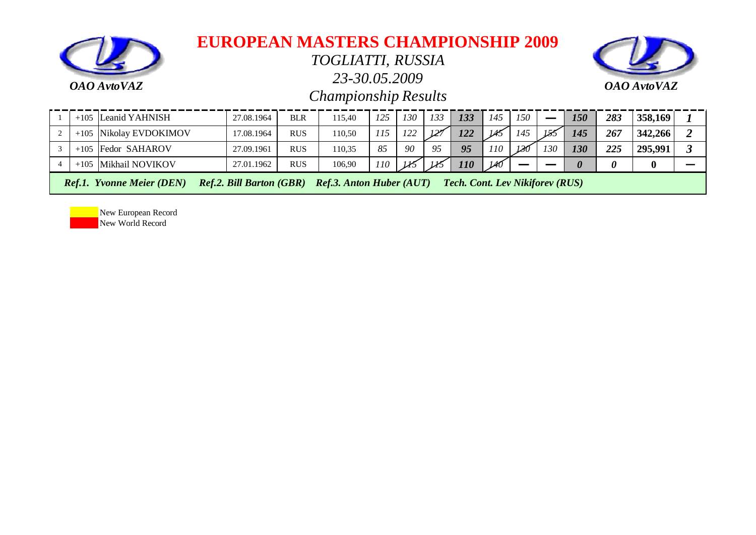

*TOGLIATTI, RUSSIA*

*23-30.05.2009*



*Championship Results*

| $+105$ | Leanid YAHNISH                   | 27.08.1964                      | <b>BLR</b> | 115.40                          | 125 | 130 | 133 | 133                                    | 145 | 150 |     | 150      | 283 | 358,169 |  |
|--------|----------------------------------|---------------------------------|------------|---------------------------------|-----|-----|-----|----------------------------------------|-----|-----|-----|----------|-----|---------|--|
|        | +105 Nikolay EVDOKIMOV           | 17.08.1964                      | <b>RUS</b> | 110.50                          | 115 | 122 | 127 | 122                                    | IA. | 145 | 155 | 145      | 267 | 342,266 |  |
|        | $+105$ Fedor SAHAROV             | 27.09.1961                      | <b>RUS</b> | 10.35                           | 85  | 90  | 95  | 95                                     | 110 | 130 | 130 | 130      | 225 | 295,991 |  |
|        | +105 Mikhail NOVIKOV             | 27.01.1962                      | <b>RUS</b> | 106,90                          | 110 | 115 | ИŚ  | 110                                    | 140 |     |     | $\theta$ |     |         |  |
|        | <b>Ref.1. Yvonne Meier (DEN)</b> | <b>Ref.2. Bill Barton (GBR)</b> |            | <b>Ref.3. Anton Huber (AUT)</b> |     |     |     | <b>Tech. Cont. Lev Nikiforev (RUS)</b> |     |     |     |          |     |         |  |

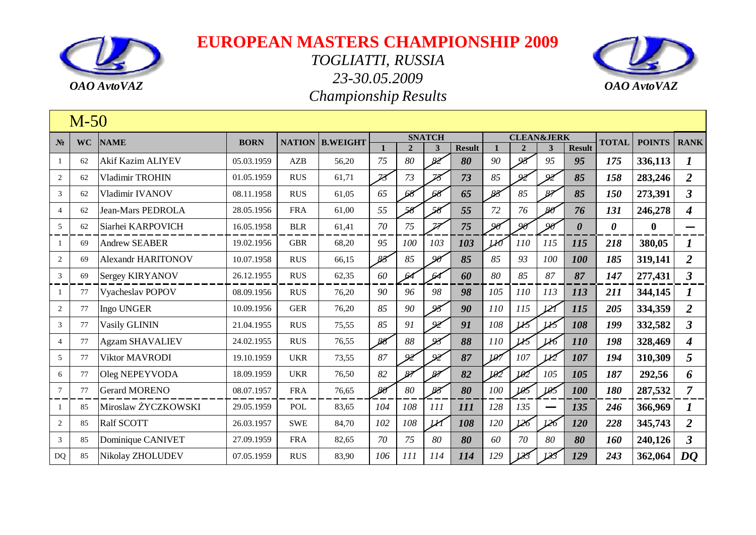



|                        | $M-50$    |                           |             |               |                 |                |                |                          |               |              |                       |               |                       |                       |               |                  |
|------------------------|-----------|---------------------------|-------------|---------------|-----------------|----------------|----------------|--------------------------|---------------|--------------|-----------------------|---------------|-----------------------|-----------------------|---------------|------------------|
| $N_2$                  | <b>WC</b> | <b>NAME</b>               | <b>BORN</b> | <b>NATION</b> | <b>B.WEIGHT</b> |                |                | <b>SNATCH</b>            |               |              | <b>CLEAN&amp;JERK</b> |               |                       | <b>TOTAL</b>          | <b>POINTS</b> | <b>RANK</b>      |
|                        |           |                           |             |               |                 | $\mathbf{1}$   | $\overline{2}$ | $\mathbf{3}$             | <b>Result</b> |              | $\mathbf{2}$          | 3             | <b>Result</b>         |                       |               |                  |
| -1                     | 62        | Akif Kazim ALIYEV         | 05.03.1959  | AZB           | 56,20           | 75             | 80             | 82                       | 80            | 90           | $\overline{Q}$        | 95            | 95                    | 175                   | 336,113       | 1                |
| 2                      | 62        | Vladimir TROHIN           | 01.05.1959  | <b>RUS</b>    | 61,71           | Z <sup>z</sup> | 73             | $\overline{\mathcal{B}}$ | 73            | 85           | 92                    | $\omega$      | 85                    | 158                   | 283,246       | $\overline{2}$   |
| $\mathfrak{Z}$         | 62        | Vladimir IVANOV           | 08.11.1958  | <b>RUS</b>    | 61,05           | 65             | 68             | 68                       | 65            | 88           | 85                    | $\mathcal{Z}$ | 85                    | 150                   | 273,391       | $\mathbf{3}$     |
| $\overline{4}$         | 62        | Jean-Mars PEDROLA         | 28.05.1956  | <b>FRA</b>    | 61,00           | 55             | 58             | 58                       | 55            | 72           | 76                    | $80^{\circ}$  | 76                    | 131                   | 246,278       | 4                |
| 5                      | 62        | Siarhei KARPOVICH         | 16.05.1958  | <b>BLR</b>    | 61,41           | $70\,$         | 75             | $\overline{\mathbb{Z}}$  | 75            | $90^{\circ}$ | 90                    | $\alpha$      | $\boldsymbol{\theta}$ | $\boldsymbol{\theta}$ | $\bf{0}$      |                  |
|                        | 69        | <b>Andrew SEABER</b>      | 19.02.1956  | <b>GBR</b>    | 68,20           | 95             | 100            | 103                      | 103           | 110          | 110                   | 115           | 115                   | 218                   | 380,05        |                  |
| 2                      | 69        | <b>Alexandr HARITONOV</b> | 10.07.1958  | <b>RUS</b>    | 66,15           | $85^{\circ}$   | 85             | 90                       | 85            | 85           | 93                    | 100           | 100                   | 185                   | 319,141       | $\overline{2}$   |
| $\mathfrak{Z}$         | 69        | <b>Sergey KIRYANOV</b>    | 26.12.1955  | <b>RUS</b>    | 62,35           | 60             | 64             |                          | 60            | 80           | 85                    | 87            | 87                    | 147                   | 277,431       | $\mathfrak{Z}$   |
| -1                     | 77        | Vyacheslav POPOV          | 08.09.1956  | <b>RUS</b>    | 76,20           | 90             | 96             | 98                       | 98            | 105          | 110                   | 113           | 113                   | 211                   | 344,145       | $\boldsymbol{I}$ |
| 2                      | 77        | Ingo UNGER                | 10.09.1956  | <b>GER</b>    | 76,20           | 85             | 90             | 95                       | 90            | 110          | 115                   | 121           | 115                   | 205                   | 334,359       | $\overline{2}$   |
| $\mathfrak{Z}$         | 77        | <b>Vasily GLININ</b>      | 21.04.1955  | <b>RUS</b>    | 75,55           | 85             | 91             | 92                       | 91            | 108          | 115                   |               | 108                   | 199                   | 332,582       | $\mathbf{3}$     |
| $\overline{4}$         | 77        | <b>Agzam SHAVALIEV</b>    | 24.02.1955  | <b>RUS</b>    | 76,55           | 88             | 88             | 93                       | 88            | 110          | IB                    |               | 110                   | 198                   | 328,469       | $\boldsymbol{4}$ |
| 5 <sup>5</sup>         | 77        | Viktor MAVRODI            | 19.10.1959  | <b>UKR</b>    | 73,55           | 87             | $\mathcal{Q}$  | 92                       | 87            | 107          | 107                   | M             | 107                   | 194                   | 310,309       | 5                |
| 6                      | 77        | Oleg NEPEYVODA            | 18.09.1959  | <b>UKR</b>    | 76,50           | 82             | $\mathcal{P}$  | 87                       | 82            | 102          | IRZ                   | 105           | 105                   | 187                   | 292,56        | 6                |
| $\tau$                 | 77        | <b>Gerard MORENO</b>      | 08.07.1957  | <b>FRA</b>    | 76,65           | $80^{\circ}$   | 80             | 88                       | 80            | 100          | 105                   | 105           | 100                   | 180                   | 287,532       | $\overline{7}$   |
| -1                     | 85        | Miroslaw ŻYCZKOWSKI       | 29.05.1959  | POL           | 83,65           | 104            | 108            | 111                      | 111           | 128          | 135                   |               | 135                   | 246                   | 366,969       | $\bm{l}$         |
| 2                      | 85        | Ralf SCOTT                | 26.03.1957  | <b>SWE</b>    | 84,70           | 102            | 108            | M                        | 108           | 120          | 126                   | 126           | 120                   | 228                   | 345,743       | 2                |
| 3                      | 85        | Dominique CANIVET         | 27.09.1959  | <b>FRA</b>    | 82,65           | 70             | 75             | 80                       | 80            | 60           | 70                    | 80            | 80                    | 160                   | 240,126       | $\mathbf{3}$     |
| $\mathbf{D}\mathbf{Q}$ | 85        | Nikolay ZHOLUDEV          | 07.05.1959  | <b>RUS</b>    | 83,90           | 106            | <i>111</i>     | 114                      | 114           | 129          | 183                   |               | 129                   | 243                   | 362,064       | D <sub>0</sub>   |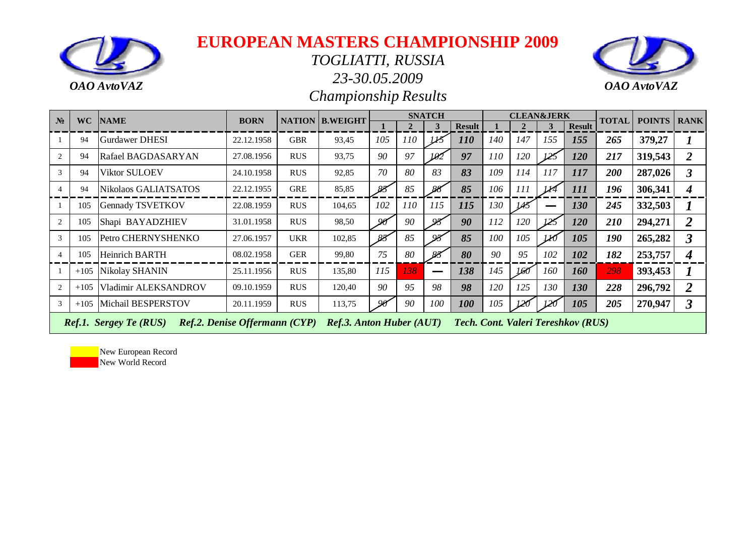

#### *TOGLIATTI, RUSSIA*

*23-30.05.2009*





| $\mathbf{N_2}$ | <b>WC</b> | <b>NAME</b>                   | <b>BORN</b>                          |            | <b>NATION B.WEIGHT</b>          |              |     | <b>SNATCH</b> |               |     |     | <b>CLEAN&amp;JERK</b> |                                    | <b>TOTAL</b> | <b>POINTS   RANK</b> |                |
|----------------|-----------|-------------------------------|--------------------------------------|------------|---------------------------------|--------------|-----|---------------|---------------|-----|-----|-----------------------|------------------------------------|--------------|----------------------|----------------|
|                |           |                               |                                      |            |                                 |              |     | 3             | <b>Result</b> |     |     | 3                     | <b>Result</b>                      |              |                      |                |
|                | 94        | <b>Gurdawer DHESI</b>         | 22.12.1958                           | <b>GBR</b> | 93,45                           | 105          | 110 |               | 110           | 140 | 147 | 155                   | 155                                | 265          | 379,27               |                |
| 2              | 94        | Rafael BAGDASARYAN            | 27.08.1956                           | <b>RUS</b> | 93,75                           | 90           | 97  | 102           | 97            | 110 | 120 |                       | <b>120</b>                         | 217          | 319,543              |                |
| 3              | 94        | Viktor SULOEV                 | 24.10.1958                           | <b>RUS</b> | 92,85                           | 70           | 80  | 83            | 83            | 109 | 114 | 117                   | 117                                | 200          | 287,026              | 3              |
| $\overline{4}$ | 94        | Nikolaos GALIATSATOS          | 22.12.1955                           | <b>GRE</b> | 85,85                           | 88           | 85  |               | 85            | 106 | 111 |                       | <i>111</i>                         | 196          | 306,341              |                |
|                | 105       | <b>Gennady TSVETKOV</b>       | 22.08.1959                           | <b>RUS</b> | 104,65                          | 102          | 110 | 115           | 115           | 130 | IAS |                       | 130                                | 245          | 332,503              |                |
| 2              | 105       | Shapi BAYADZHIEV              | 31.01.1958                           | <b>RUS</b> | 98,50                           | $90^{\circ}$ | 90  | 95            | 90            | 112 | 120 | 125                   | <b>120</b>                         | <b>210</b>   | 294,271              | 2              |
| 3              | 105       | Petro CHERNYSHENKO            | 27.06.1957                           | <b>UKR</b> | 102,85                          | 83           | 85  | $\alpha$      | 85            | 100 | 105 |                       | 105                                | <i>190</i>   | 265,282              | 3              |
| $\overline{4}$ | 105       | <b>Heinrich BARTH</b>         | 08.02.1958                           | <b>GER</b> | 99,80                           | 75           | 80  |               | 80            | 90  | 95  | 102                   | 102                                | 182          | 253,757              | 4              |
|                | $+105$    | Nikolay SHANIN                | 25.11.1956                           | <b>RUS</b> | 135,80                          | 115          | 138 |               | 138           | 145 | 160 | 160                   | <b>160</b>                         | 298          | 393,453              |                |
| 2              | $+105$    | Vladimir ALEKSANDROV          | 09.10.1959                           | <b>RUS</b> | 120,40                          | 90           | 95  | 98            | 98            | 120 | 125 | 130                   | <b>130</b>                         | 228          | 296,792              | $\overline{2}$ |
| 3              | $+105$    | Michail BESPERSTOV            | 20.11.1959                           | <b>RUS</b> | 113,75                          | 90           | 90  | 100           | 100           | 105 | 120 |                       | 105                                | 205          | 270,947              | 3              |
|                |           | <b>Ref.1. Sergey Te (RUS)</b> | <b>Ref.2. Denise Offermann (CYP)</b> |            | <b>Ref.3. Anton Huber (AUT)</b> |              |     |               |               |     |     |                       | Tech. Cont. Valeri Tereshkov (RUS) |              |                      |                |

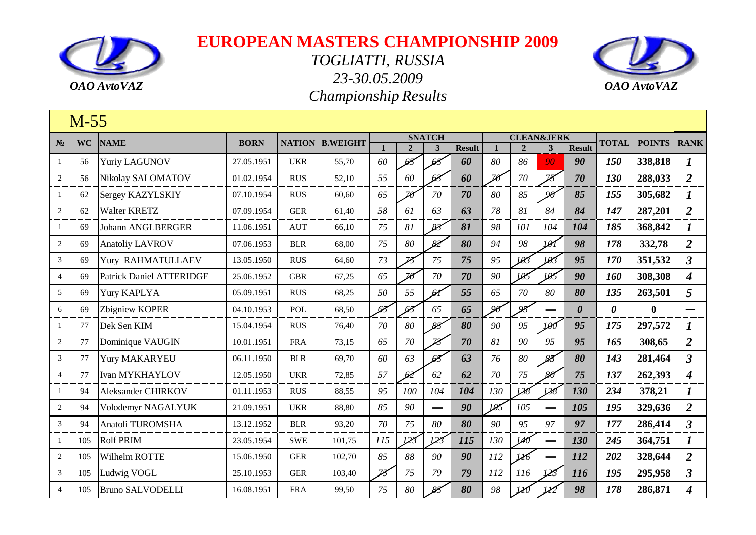



|                | $M-55$    |                                 |             |            |                        |                          |                |                          |               |              |                       |                          |                       |              |                  |                         |
|----------------|-----------|---------------------------------|-------------|------------|------------------------|--------------------------|----------------|--------------------------|---------------|--------------|-----------------------|--------------------------|-----------------------|--------------|------------------|-------------------------|
| $N_2$          | <b>WC</b> | <b>NAME</b>                     | <b>BORN</b> |            | <b>NATION B.WEIGHT</b> |                          |                | <b>SNATCH</b>            |               |              | <b>CLEAN&amp;JERK</b> |                          |                       | <b>TOTAL</b> | <b>POINTS</b>    | <b>RANK</b>             |
|                |           |                                 |             |            |                        |                          | $\overline{2}$ | $\overline{\mathbf{3}}$  | <b>Result</b> | $\mathbf{1}$ | $\overline{2}$        | $\overline{\mathbf{3}}$  | <b>Result</b>         |              |                  |                         |
| $\mathbf{1}$   | 56        | <b>Yuriy LAGUNOV</b>            | 27.05.1951  | <b>UKR</b> | 55,70                  | 60                       |                | 63                       | 60            | 80           | 86                    | 90                       | 90                    | 150          | 338,818          | $\boldsymbol{l}$        |
| $\overline{2}$ | 56        | Nikolay SALOMATOV               | 01.02.1954  | <b>RUS</b> | 52,10                  | 55                       | 60             | 63                       | 60            | 26           | $70\,$                | $\overline{\mathcal{B}}$ | 70                    | 130          | 288,033          | $\overline{2}$          |
| 1              | 62        | Sergey KAZYLSKIY                | 07.10.1954  | <b>RUS</b> | 60,60                  | 65                       | $20^{\circ}$   | 70                       | 70            | 80           | 85                    | 90                       | 85                    | 155          | 305,682          | 1                       |
| $\sqrt{2}$     | 62        | <b>Walter KRETZ</b>             | 07.09.1954  | <b>GER</b> | 61,40                  | 58                       | 61             | 63                       | 63            | 78           | 81                    | 84                       | 84                    | 147          | 287,201          | $\overline{2}$          |
| 1              | 69        | <b>Johann ANGLBERGER</b>        | 11.06.1951  | <b>AUT</b> | 66,10                  | 75                       | 81             | 83                       | 81            | 98           | 101                   | 104                      | 104                   | 185          | 368,842          | $\boldsymbol{l}$        |
| $\overline{2}$ | 69        | <b>Anatoliy LAVROV</b>          | 07.06.1953  | <b>BLR</b> | 68,00                  | 75                       | 80             | 82                       | 80            | 94           | 98                    | 191                      | 98                    | 178          | 332,78           | $\overline{2}$          |
| 3              | 69        | Yury RAHMATULLAEV               | 13.05.1950  | <b>RUS</b> | 64,60                  | 73                       | $\mathcal{Z}$  | 75                       | 75            | 95           | 103                   | 193                      | 95                    | 170          | 351,532          | $\overline{\mathbf{3}}$ |
| $\overline{4}$ | 69        | <b>Patrick Daniel ATTERIDGE</b> | 25.06.1952  | <b>GBR</b> | 67,25                  | 65                       | $\mathbb{Z}$ n | 70                       | 70            | 90           | 105                   | 105                      | 90                    | 160          | 308,308          | $\boldsymbol{4}$        |
| 5              | 69        | Yury KAPLYA                     | 05.09.1951  | <b>RUS</b> | 68,25                  | 50                       | 55             | $\mathcal{A}$            | 55            | 65           | 70                    | 80                       | 80                    | 135          | 263,501          | 5                       |
| 6              | 69        | Zbigniew KOPER                  | 04.10.1953  | POL        | 68,50                  |                          | 68             | 65                       | 65            | 90           | 93                    |                          | $\boldsymbol{\theta}$ | 0            | $\boldsymbol{0}$ |                         |
| 1              | 77        | Dek Sen KIM                     | 15.04.1954  | <b>RUS</b> | 76,40                  | 70                       | 80             | 85                       | 80            | 90           | 95                    | 100                      | 95                    | 175          | 297,572          | 1                       |
| 2              | 77        | Dominique VAUGIN                | 10.01.1951  | <b>FRA</b> | 73,15                  | 65                       | 70             | 78                       | 70            | 81           | 90                    | 95                       | 95                    | 165          | 308,65           | $\overline{2}$          |
| 3              | 77        | Yury MAKARYEU                   | 06.11.1950  | <b>BLR</b> | 69,70                  | 60                       | 63             | 63                       | 63            | 76           | 80                    | 85                       | 80                    | 143          | 281,464          | $\overline{\mathbf{3}}$ |
| $\overline{4}$ | 77        | <b>Ivan MYKHAYLOV</b>           | 12.05.1950  | <b>UKR</b> | 72,85                  | 57                       | 62             | 62                       | 62            | 70           | 75                    | $80^{\circ}$             | 75                    | 137          | 262,393          | $\boldsymbol{4}$        |
| 1              | 94        | <b>Aleksander CHIRKOV</b>       | 01.11.1953  | <b>RUS</b> | 88,55                  | 95                       | 100            | 104                      | 104           | 130          | 138                   | 138                      | 130                   | 234          | 378,21           | $\bm{l}$                |
| $\overline{2}$ | 94        | Volodemyr NAGALYUK              | 21.09.1951  | <b>UKR</b> | 88,80                  | 85                       | 90             | $\overline{\phantom{0}}$ | 90            | 105          | 105                   |                          | 105                   | 195          | 329,636          | $\overline{2}$          |
| $\mathfrak{Z}$ | 94        | Anatoli TUROMSHA                | 13.12.1952  | <b>BLR</b> | 93,20                  | 70                       | 75             | 80                       | 80            | 90           | 95                    | 97                       | 97                    | 177          | 286,414          | $\overline{\mathbf{3}}$ |
| 1              | 105       | <b>Rolf PRIM</b>                | 23.05.1954  | <b>SWE</b> | 101,75                 | 115                      | 123            | 125                      | 115           | 130          | 140                   |                          | 130                   | 245          | 364,751          | 1                       |
| 2              | 105       | Wilhelm ROTTE                   | 15.06.1950  | <b>GER</b> | 102,70                 | 85                       | 88             | 90                       | 90            | 112          | LЮ                    |                          | 112                   | 202          | 328,644          | $\overline{2}$          |
| 3              | 105       | Ludwig VOGL                     | 25.10.1953  | <b>GER</b> | 103,40                 | $\overline{\mathcal{B}}$ | 75             | 79                       | 79            | 112          | 116                   | 123                      | 116                   | 195          | 295,958          | $\overline{\mathbf{3}}$ |
| $\overline{4}$ | 105       | <b>Bruno SALVODELLI</b>         | 16.08.1951  | <b>FRA</b> | 99,50                  | 75                       | 80             | 85                       | 80            | 98           | 110                   | M                        | 98                    | 178          | 286,871          | 4                       |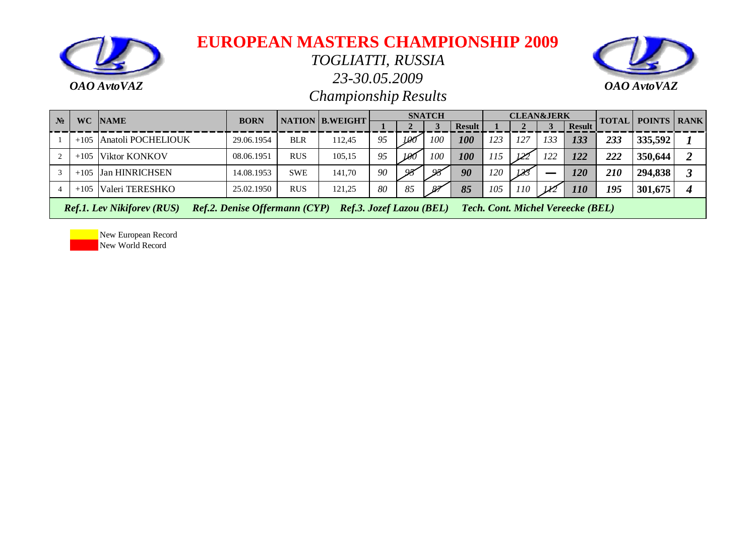

*TOGLIATTI, RUSSIA*

*23-30.05.2009*



*Championship Results*

| $N_2$ |        | WC NAME              | <b>BORN</b> |            | <b>NATION B.WEIGHT</b> |    |          | <b>SNATCH</b> |               |     | <b>CLEAN&amp;JERK</b> |       |               | <b>TOTAL</b> | <b>POINTS   RANK</b> |  |
|-------|--------|----------------------|-------------|------------|------------------------|----|----------|---------------|---------------|-----|-----------------------|-------|---------------|--------------|----------------------|--|
|       |        |                      |             |            |                        |    |          |               | <b>Result</b> |     |                       |       | <b>Result</b> |              |                      |  |
|       | $+105$ | Anatoli POCHELIOUK   | 29.06.1954  | <b>BLR</b> | 112,45                 | 95 | 190      | 100           | 100           | 123 | 127                   | 133   | 133           | 233          | 335,592              |  |
|       | -105   | <b>Viktor KONKOV</b> | 08.06.1951  | <b>RUS</b> | 105,15                 | 95 | 100      | 100           | 100           | 115 | 122                   | 122   | 122           | 222          | 350,644              |  |
|       | $+105$ | Jan HINRICHSEN       | 14.08.1953  | <b>SWE</b> | 141.70                 | 90 | $\alpha$ | $\mathcal{A}$ | 90            | 120 | 183                   |       | 120           | 210          | 294,838              |  |
|       | $+105$ | Valeri TERESHKO      | 25.02.1950  | <b>RUS</b> | 121,25                 | 80 | 85       | -87           | 85            | 105 | 110                   | $\nu$ | 110           | 195          | 301,675              |  |

 *Ref.1. Lev Nikiforev (RUS) Ref.2. Denise Offermann (CYP) Ref.3. Jozef Lazou (BEL) Tech. Cont. Michel Vereecke (BEL)*

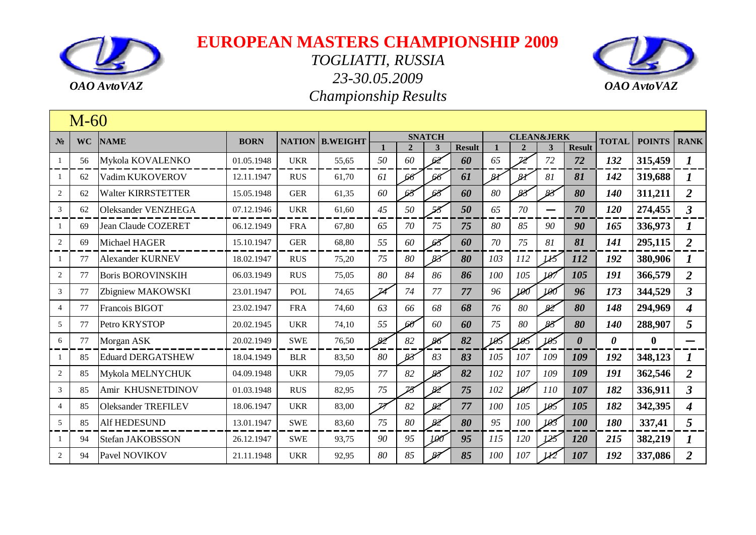



|                | $M-60$    |                            |             |               |                 |                          |                |               |               |               |                          |                       |                       |                       |               |                  |
|----------------|-----------|----------------------------|-------------|---------------|-----------------|--------------------------|----------------|---------------|---------------|---------------|--------------------------|-----------------------|-----------------------|-----------------------|---------------|------------------|
| $N_2$          | <b>WC</b> | <b>NAME</b>                | <b>BORN</b> | <b>NATION</b> | <b>B.WEIGHT</b> |                          |                | <b>SNATCH</b> |               |               |                          | <b>CLEAN&amp;JERK</b> |                       | <b>TOTAL</b>          | <b>POINTS</b> | <b>RANK</b>      |
|                |           |                            |             |               |                 |                          | $\overline{2}$ | 3             | <b>Result</b> |               |                          | 3                     | <b>Result</b>         |                       |               |                  |
| 1              | 56        | Mykola KOVALENKO           | 01.05.1948  | <b>UKR</b>    | 55,65           | 50                       | 60             | 62            | 60            | 65            | $\overline{\mathcal{Z}}$ | 72                    | 72                    | 132                   | 315,459       | $\boldsymbol{l}$ |
|                | 62        | Vadim KUKOVEROV            | 12.11.1947  | <b>RUS</b>    | 61,70           | 61                       | 66             | 66            | 61            | $\mathcal{S}$ | $\mathcal{S}$            | 81                    | 81                    | 142                   | 319,688       | 1                |
| 2              | 62        | <b>Walter KIRRSTETTER</b>  | 15.05.1948  | <b>GER</b>    | 61,35           | 60                       | 68             | 68            | 60            | 80            |                          | 83                    | 80                    | 140                   | 311,211       | $\overline{2}$   |
| 3              | 62        | <b>Oleksander VENZHEGA</b> | 07.12.1946  | <b>UKR</b>    | 61,60           | 45                       | 50             | 58            | 50            | 65            | 70                       | —                     | 70                    | 120                   | 274,455       | $\mathfrak{Z}$   |
| -1             | 69        | Jean Claude COZERET        | 06.12.1949  | <b>FRA</b>    | 67,80           | 65                       | 70             | 75            | 75            | 80            | 85                       | 90                    | 90                    | 165                   | 336,973       |                  |
| 2              | 69        | Michael HAGER              | 15.10.1947  | <b>GER</b>    | 68,80           | 55                       | 60             | 63            | 60            | 70            | 75                       | 81                    | 81                    | 141                   | 295,115       | $\overline{2}$   |
| 1              | 77        | <b>Alexander KURNEV</b>    | 18.02.1947  | <b>RUS</b>    | 75,20           | 75                       | 80             | 83            | 80            | 103           | 112                      | IB                    | 112                   | 192                   | 380,906       |                  |
| 2              | 77        | <b>Boris BOROVINSKIH</b>   | 06.03.1949  | <b>RUS</b>    | 75,05           | 80                       | 84             | 86            | 86            | 100           | 105                      | 10 <sub>1</sub>       | 105                   | 191                   | 366,579       | $\overline{2}$   |
| 3              | 77        | Zbigniew MAKOWSKI          | 23.01.1947  | POL           | 74,65           | $\overline{\mathcal{A}}$ | 74             | 77            | 77            | 96            | 190                      | 190                   | 96                    | 173                   | 344,529       | $\overline{3}$   |
| $\overline{4}$ | 77        | Francois BIGOT             | 23.02.1947  | <b>FRA</b>    | 74,60           | 63                       | 66             | 68            | 68            | 76            | 80                       | 82                    | 80                    | 148                   | 294,969       | $\boldsymbol{4}$ |
| 5              | 77        | Petro KRYSTOP              | 20.02.1945  | <b>UKR</b>    | 74,10           | 55                       | 68             | 60            | 60            | 75            | 80                       | 84                    | 80                    | 140                   | 288,907       | 5                |
| 6              | 77        | Morgan ASK                 | 20.02.1949  | <b>SWE</b>    | 76,50           | 82                       | 82             | 86            | 82            | 105           | 105                      | 105                   | $\boldsymbol{\theta}$ | $\boldsymbol{\theta}$ | $\bf{0}$      |                  |
| -1             | 85        | <b>Eduard DERGATSHEW</b>   | 18.04.1949  | <b>BLR</b>    | 83,50           | 80                       | 83             | 83            | 83            | 105           | 107                      | 109                   | 109                   | 192                   | 348,123       | $\boldsymbol{I}$ |
| 2              | 85        | Mykola MELNYCHUK           | 04.09.1948  | <b>UKR</b>    | 79,05           | 77                       | 82             | 83            | 82            | 102           | 107                      | 109                   | 109                   | 191                   | 362,546       | $\overline{2}$   |
| $\mathfrak{Z}$ | 85        | Amir KHUSNETDINOV          | 01.03.1948  | <b>RUS</b>    | 82,95           | 75                       | Z              | 82            | 75            | 102           | 107                      | 110                   | 107                   | 182                   | 336,911       | $\mathbf{3}$     |
| $\overline{4}$ | 85        | <b>Oleksander TREFILEV</b> | 18.06.1947  | <b>UKR</b>    | 83,00           | $\overline{\mathbb{Z}}$  | 82             | 82            | 77            | 100           | 105                      | 105                   | 105                   | 182                   | 342,395       | $\boldsymbol{4}$ |
| 5              | 85        | Alf HEDESUND               | 13.01.1947  | <b>SWE</b>    | 83,60           | 75                       | 80             | 82            | 80            | 95            | 100                      | 105                   | 100                   | 180                   | 337,41        | 5                |
| -1             | 94        | Stefan JAKOBSSON           | 26.12.1947  | <b>SWE</b>    | 93,75           | 90                       | 95             | 100           | 95            | 115           | 120                      | 125                   | 120                   | 215                   | 382,219       | $\bm{l}$         |
| 2              | 94        | Pavel NOVIKOV              | 21.11.1948  | <b>UKR</b>    | 92,95           | 80                       | 85             | 87            | 85            | 100           | 107                      |                       | 107                   | 192                   | 337,086       | $\overline{2}$   |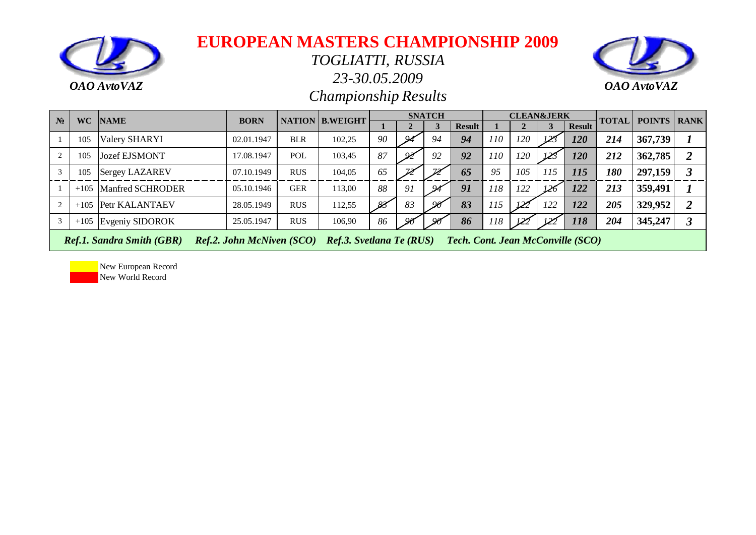

#### *TOGLIATTI, RUSSIA*

*23-30.05.2009*



*Championship Results*

| $N_2$ |        | WC NAME                          | <b>BORN</b>                      |            | <b>NATION B.WEIGHT</b>   |    |               | <b>SNATCH</b>            |                                          |     |     | <b>CLEAN&amp;JERK</b> |               | <b>TOTAL</b> | <b>POINTS   RANK</b> |  |
|-------|--------|----------------------------------|----------------------------------|------------|--------------------------|----|---------------|--------------------------|------------------------------------------|-----|-----|-----------------------|---------------|--------------|----------------------|--|
|       |        |                                  |                                  |            |                          |    |               |                          | <b>Result</b>                            |     |     |                       | <b>Result</b> |              |                      |  |
|       | 105    | Valery SHARYI                    | 02.01.1947                       | <b>BLR</b> | 102,25                   | 90 |               | 94                       | 94                                       | 110 | 120 | 123                   | <b>120</b>    | 214          | 367,739              |  |
|       | 105    | <b>Jozef EJSMONT</b>             | 17.08.1947                       | POL        | 103,45                   | 87 | $\mathcal{Q}$ | 92                       | 92                                       | 110 | 120 | $\n  iz\n$            | <b>120</b>    | 212          | 362,785              |  |
|       | 105    | Sergey LAZAREV                   | 07.10.1949                       | <b>RUS</b> | 104,05                   | 65 |               | $\overline{\mathscr{D}}$ | 65                                       | 95  | 105 | 115                   | <i>115</i>    | 180          | 297,159              |  |
|       | $+105$ | Manfred SCHRODER                 | 05.10.1946                       | <b>GER</b> | 113,00                   | 88 | 91            | 94                       | 91                                       | 118 | 122 | 121                   | 122           | 213          | 359,491              |  |
|       |        | +105 Petr KALANTAEV              | 28.05.1949                       | <b>RUS</b> | 112,55                   | 83 | 83            | 90                       | 83                                       | 115 | 122 | 122                   | 122           | 205          | 329,952              |  |
| 3     |        | $+105$ Evgeniy SIDOROK           | 25.05.1947                       | <b>RUS</b> | 106,90                   | 86 | $\alpha$      | 99                       | 86                                       | 118 | 122 | 122                   | <b>118</b>    | 204          | 345,247              |  |
|       |        | <b>Ref.1. Sandra Smith (GBR)</b> | <b>Ref.2. John McNiven (SCO)</b> |            | Ref.3. Svetlana Te (RUS) |    |               |                          | <b>Tech. Cont. Jean McConville (SCO)</b> |     |     |                       |               |              |                      |  |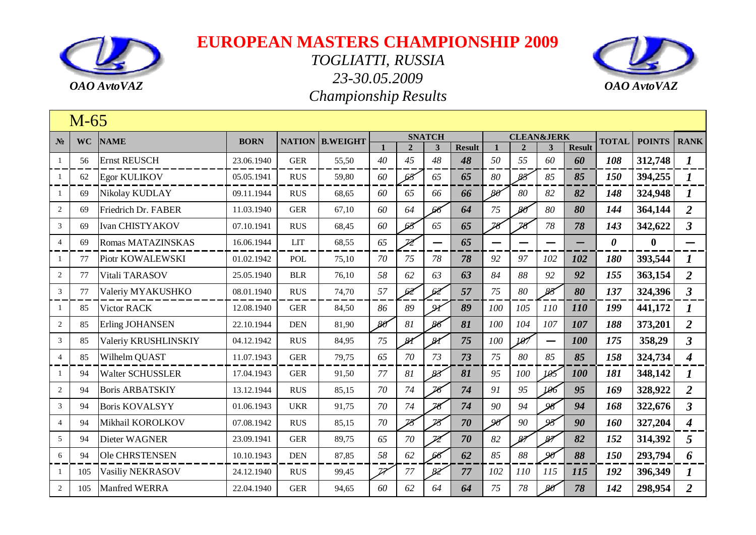



|                | $M-65$    |                         |             |                |                        |        |                          |                               |               |                          |                       |            |               |                       |                  |                         |
|----------------|-----------|-------------------------|-------------|----------------|------------------------|--------|--------------------------|-------------------------------|---------------|--------------------------|-----------------------|------------|---------------|-----------------------|------------------|-------------------------|
| N <sub>2</sub> | <b>WC</b> | <b>NAME</b>             | <b>BORN</b> |                | <b>NATION B.WEIGHT</b> |        |                          | <b>SNATCH</b>                 |               |                          | <b>CLEAN&amp;JERK</b> |            |               | <b>TOTAL</b>          | <b>POINTS</b>    | <b>RANK</b>             |
|                |           |                         |             | <b>GER</b>     |                        |        | $\overline{2}$<br>45     | $\overline{\mathbf{3}}$<br>48 | <b>Result</b> |                          | $\overline{2}$<br>55  | 3          | <b>Result</b> |                       |                  |                         |
|                | 56        | <b>Ernst REUSCH</b>     | 23.06.1940  |                | 55,50                  | 40     |                          |                               | 48            | 50                       |                       | 60         | 60            | 108                   | 312,748          | $\boldsymbol{l}$        |
|                | 62        | <b>Egor KULIKOV</b>     | 05.05.1941  | <b>RUS</b>     | 59,80                  | 60     | 68                       | 65                            | 65            | 80                       | $85^{\circ}$          | 85         | 85            | 150                   | 394,255          | $\boldsymbol{I}$        |
|                | 69        | Nikolay KUDLAY          | 09.11.1944  | <b>RUS</b>     | 68,65                  | 60     | 65                       | 66                            | 66            | $80^{\circ}$             | 80                    | 82         | 82            | 148                   | 324,948          |                         |
| $\overline{c}$ | 69        | Friedrich Dr. FABER     | 11.03.1940  | <b>GER</b>     | 67,10                  | 60     | 64                       | 66                            | 64            | 75                       | -86                   | 80         | 80            | 144                   | 364,144          | 2                       |
| 3              | 69        | <b>Ivan CHISTYAKOV</b>  | 07.10.1941  | <b>RUS</b>     | 68,45                  | 60     | 65                       | 65                            | 65            | $\overline{\mathcal{X}}$ | 78                    | 78         | 78            | 143                   | 342,622          | $\overline{\mathbf{3}}$ |
| $\overline{4}$ | 69        | Romas MATAZINSKAS       | 16.06.1944  | <b>LIT</b>     | 68,55                  | 65     | $\overline{\mathcal{Z}}$ | —                             | 65            |                          |                       |            |               | $\boldsymbol{\theta}$ | $\boldsymbol{0}$ |                         |
|                | 77        | Piotr KOWALEWSKI        | 01.02.1942  | POL            | 75,10                  | 70     | 75                       | 78                            | 78            | 92                       | 97                    | 102        | 102           | 180                   | 393,544          | 1                       |
| 2              | 77        | Vitali TARASOV          | 25.05.1940  | <b>BLR</b>     | 76,10                  | 58     | 62                       | 63                            | 63            | 84                       | 88                    | 92         | 92            | 155                   | 363,154          | $\overline{2}$          |
| 3              | 77        | Valeriy MYAKUSHKO       | 08.01.1940  | <b>RUS</b>     | 74,70                  | 57     | 62                       | 62                            | 57            | 75                       | 80                    | 83         | 80            | 137                   | 324,396          | $\mathbf{3}$            |
|                | 85        | Victor RACK             | 12.08.1940  | <b>GER</b>     | 84,50                  | 86     | 89                       | $Q\chi$                       | 89            | 100                      | 105                   | <i>110</i> | 110           | 199                   | 441,172          | 1                       |
| $\overline{c}$ | 85        | Erling JOHANSEN         | 22.10.1944  | $\mathbf{DEN}$ | 81,90                  | 86     | 81                       | 86                            | 81            | 100                      | 104                   | 107        | 107           | 188                   | 373,201          | $\overline{2}$          |
| 3              | 85        | Valeriy KRUSHLINSKIY    | 04.12.1942  | <b>RUS</b>     | 84,95                  | 75     | $\mathcal{U}$            | 81                            | 75            | 100                      | 197                   | —          | 100           | 175                   | 358,29           | $\overline{3}$          |
| $\overline{4}$ | 85        | Wilhelm QUAST           | 11.07.1943  | <b>GER</b>     | 79,75                  | 65     | 70                       | 73                            | 73            | 75                       | 80                    | 85         | 85            | 158                   | 324,734          | $\boldsymbol{4}$        |
|                | 94        | <b>Walter SCHUSSLER</b> | 17.04.1943  | <b>GER</b>     | 91,50                  | 77     | 81                       | 83                            | 81            | 95                       | 100                   | 105        | 100           | 181                   | 348,142          |                         |
| $\overline{2}$ | 94        | <b>Boris ARBATSKIY</b>  | 13.12.1944  | <b>RUS</b>     | 85,15                  | 70     | 74                       | 76                            | 74            | 91                       | 95                    | 106        | 95            | 169                   | 328,922          | $\overline{2}$          |
| 3              | 94        | <b>Boris KOVALSYY</b>   | 01.06.1943  | <b>UKR</b>     | 91,75                  | 70     | 74                       | $\overline{\mathcal{R}}$      | 74            | 90                       | 94                    | $\alpha$   | 94            | 168                   | 322,676          | $\overline{3}$          |
| $\overline{4}$ | 94        | Mikhail KOROLKOV        | 07.08.1942  | <b>RUS</b>     | 85,15                  | $70\,$ | $\overline{\mathcal{B}}$ | 78                            | 70            | 90                       | 90                    | 95         | 90            | 160                   | 327,204          | $\boldsymbol{4}$        |
| 5              | 94        | Dieter WAGNER           | 23.09.1941  | <b>GER</b>     | 89,75                  | 65     | 70                       | $\overline{\mathscr{D}}$      | 70            | 82                       | 87                    | 87         | 82            | 152                   | 314,392          | 5                       |
| 6              | 94        | <b>Ole CHRSTENSEN</b>   | 10.10.1943  | <b>DEN</b>     | 87,85                  | 58     | 62                       | 66                            | 62            | 85                       | 88                    | $\alpha$   | 88            | 150                   | 293,794          | 6                       |
|                | 105       | Vasiliy NEKRASOV        | 24.12.1940  | <b>RUS</b>     | 99,45                  | Z      | 77                       | 82'                           | 77            | 102                      | 110                   | 115        | 115           | 192                   | 396,349          |                         |
| $\mathfrak{2}$ | 105       | Manfred WERRA           | 22.04.1940  | <b>GER</b>     | 94,65                  | 60     | 62                       | 64                            | 64            | 75                       | 78                    | -80        | 78            | 142                   | 298,954          | $\overline{2}$          |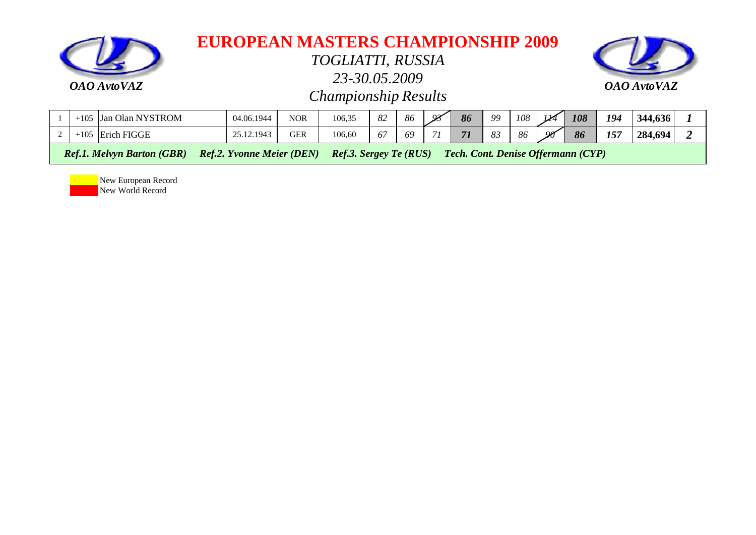

*TOGLIATTI, RUSSIA*

*23-30.05.2009*



*Championship Results*

| $+105$                                                                                            | Olan<br><b>NYSTROM</b><br>Jan | 04.06.1944           | NOR | 106,35 | $\Omega$<br>$O\angle$    | 86 | $\mathcal{Q}$ | 86   | QQ             | 108 | $M^{\prime}$ | 108 | 194 | 344,636 |  |
|---------------------------------------------------------------------------------------------------|-------------------------------|----------------------|-----|--------|--------------------------|----|---------------|------|----------------|-----|--------------|-----|-----|---------|--|
| $+105$                                                                                            | FIGGE<br>Erich I              | $\sim$<br>25.12.1943 | GER | 106,60 | $\overline{\phantom{a}}$ | 69 | $\sim$        | $-7$ | $\Omega$<br>ပၪ | 86  | $\alpha$     | 86  | 157 | 284,694 |  |
| ________<br>_______<br>___<br>_____<br>________<br>__ _ _ _<br>_______<br>___________<br>.<br>$-$ |                               |                      |     |        |                          |    |               |      |                |     |              |     |     |         |  |

 *Ref.1. Melvyn Barton (GBR) Ref.2. Yvonne Meier (DEN) Ref.3. Sergey Te (RUS) Tech. Cont. Denise Offermann (CYP)*

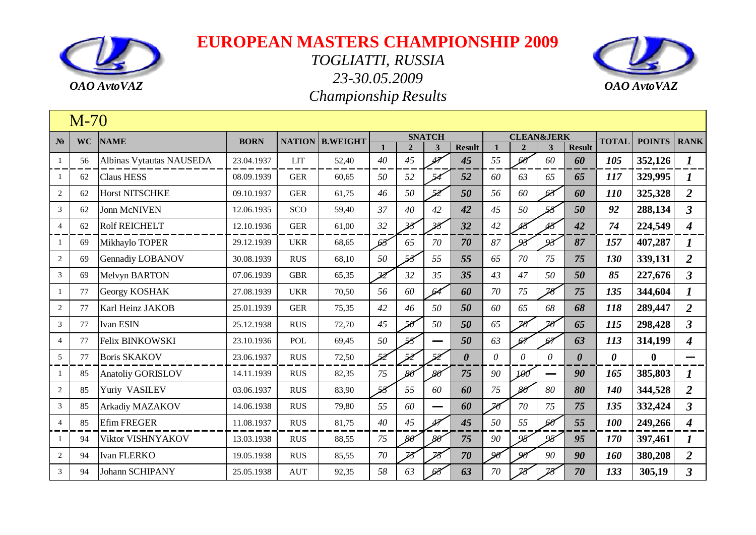



|                | $M-70$    |                          |             |            |                        |                          |                          |                          |                       |              |                       |                          |                       |                       |               |                      |
|----------------|-----------|--------------------------|-------------|------------|------------------------|--------------------------|--------------------------|--------------------------|-----------------------|--------------|-----------------------|--------------------------|-----------------------|-----------------------|---------------|----------------------|
| $N_2$          | <b>WC</b> | <b>NAME</b>              | <b>BORN</b> |            | <b>NATION B.WEIGHT</b> |                          |                          | <b>SNATCH</b>            |                       |              | <b>CLEAN&amp;JERK</b> |                          |                       | <b>TOTAL</b>          | <b>POINTS</b> | <b>RANK</b>          |
|                |           |                          |             |            |                        |                          | $\overline{2}$           | 3                        | <b>Result</b>         | $\mathbf{1}$ | $\overline{2}$        | 3                        | <b>Result</b>         |                       |               |                      |
| $\mathbf{1}$   | 56        | Albinas Vytautas NAUSEDA | 23.04.1937  | <b>LIT</b> | 52,40                  | 40                       | 45                       | 47                       | 45                    | 55           | 60                    | 60                       | 60                    | 105                   | 352,126       | $\boldsymbol{I}$     |
| -1             | 62        | <b>Claus HESS</b>        | 08.09.1939  | <b>GER</b> | 60,65                  | 50                       | 52                       |                          | 52                    | 60           | 63                    | 65                       | 65                    | 117                   | 329,995       | 1                    |
| $\overline{2}$ | 62        | <b>Horst NITSCHKE</b>    | 09.10.1937  | <b>GER</b> | 61,75                  | 46                       | 50                       | 52                       | 50                    | 56           | 60                    | 62                       | 60                    | 110                   | 325,328       | $\overline{2}$       |
| $\mathfrak{Z}$ | 62        | <b>Jonn McNIVEN</b>      | 12.06.1935  | <b>SCO</b> | 59,40                  | 37                       | 40                       | 42                       | 42                    | 45           | 50                    | 58                       | 50                    | 92                    | 288,134       | $\overline{3}$       |
| $\overline{4}$ | 62        | <b>Rolf REICHELT</b>     | 12.10.1936  | <b>GER</b> | 61,00                  | 32                       | $\overline{\mathscr{S}}$ | $\overline{\mathscr{B}}$ | 32                    | 42           |                       | 45                       | 42                    | 74                    | 224,549       | $\boldsymbol{4}$     |
| -1             | 69        | Mikhaylo TOPER           | 29.12.1939  | <b>UKR</b> | 68,65                  | 68                       | 65                       | 70                       | 70                    | 87           | 93                    | 93                       | 87                    | 157                   | 407,287       | $\bm{l}$             |
| 2              | 69        | Gennadiy LOBANOV         | 30.08.1939  | <b>RUS</b> | 68,10                  | 50                       | 58                       | 55                       | 55                    | 65           | 70                    | 75                       | 75                    | 130                   | 339,131       | $\overline{2}$       |
| 3              | 69        | <b>Melvyn BARTON</b>     | 07.06.1939  | <b>GBR</b> | 65,35                  | $\overline{\mathscr{Z}}$ | 32                       | 35                       | 35                    | 43           | 47                    | 50                       | 50                    | 85                    | 227,676       | $\mathbf{3}$         |
| 1              | 77        | Georgy KOSHAK            | 27.08.1939  | <b>UKR</b> | 70,50                  | 56                       | 60                       | 64                       | 60                    | 70           | 75                    | $\overline{\mathcal{R}}$ | 75                    | 135                   | 344,604       | $\boldsymbol{l}$     |
| $\overline{c}$ | 77        | Karl Heinz JAKOB         | 25.01.1939  | <b>GER</b> | 75,35                  | 42                       | 46                       | 50                       | 50                    | 60           | 65                    | 68                       | 68                    | 118                   | 289,447       | $\overline{2}$       |
| 3              | 77        | Ivan ESIN                | 25.12.1938  | <b>RUS</b> | 72,70                  | 45                       | 50                       | 50                       | 50                    | 65           | 26                    | 26                       | 65                    | 115                   | 298,428       | $\overline{3}$       |
| $\overline{4}$ | 77        | Felix BINKOWSKI          | 23.10.1936  | POL        | 69,45                  | 50                       | 58                       |                          | 50                    | 63           | 62                    | 67                       | 63                    | 113                   | 314,199       | 4                    |
| 5              | 77        | <b>Boris SKAKOV</b>      | 23.06.1937  | <b>RUS</b> | 72,50                  | 52                       | 52                       | 52                       | $\boldsymbol{\theta}$ | $\theta$     | $\theta$              | $\theta$                 | $\boldsymbol{\theta}$ | $\boldsymbol{\theta}$ | $\mathbf{0}$  |                      |
| 1              | 85        | <b>Anatoliy GORISLOV</b> | 14.11.1939  | <b>RUS</b> | 82,35                  | 75                       | $80^{\circ}$             | $80^{\circ}$             | 75                    | 90           | 100                   |                          | 90                    | 165                   | 385,803       |                      |
| $\mathbf{2}$   | 85        | Yuriy VASILEV            | 03.06.1937  | <b>RUS</b> | 83,90                  | 58                       | 55                       | 60                       | 60                    | 75           | $80^{\circ}$          | 80                       | 80                    | 140                   | 344,528       | $\overline{2}$       |
| 3              | 85        | Arkadiy MAZAKOV          | 14.06.1938  | <b>RUS</b> | 79,80                  | 55                       | 60                       | $\overline{\phantom{0}}$ | 60                    | 26           | 70                    | 75                       | 75                    | 135                   | 332,424       | $\overline{3}$       |
| $\overline{4}$ | 85        | Efim FREGER              | 11.08.1937  | <b>RUS</b> | 81,75                  | 40                       | 45                       | $\overline{47}$          | 45                    | 50           | 55                    | 66                       | 55                    | 100                   | 249,266       | $\boldsymbol{4}$     |
|                | 94        | Viktor VISHNYAKOV        | 13.03.1938  | <b>RUS</b> | 88,55                  | 75                       | $80^{\circ}$             | $80^{\circ}$             | 75                    | 90           | 95                    | 95                       | 95                    | 170                   | 397,461       | $\boldsymbol{l}$     |
| $\overline{2}$ | 94        | Ivan FLERKO              | 19.05.1938  | <b>RUS</b> | 85,55                  | 70                       | 78                       | 78                       | 70                    | $\alpha$     | Qq                    | 90                       | 90                    | 160                   | 380,208       | $\overline{2}$       |
| $\mathfrak{Z}$ | 94        | <b>Johann SCHIPANY</b>   | 25.05.1938  | <b>AUT</b> | 92,35                  | 58                       | 63                       | 64                       | 63                    | 70           |                       | 29                       | 70                    | 133                   | 305,19        | $\boldsymbol{\beta}$ |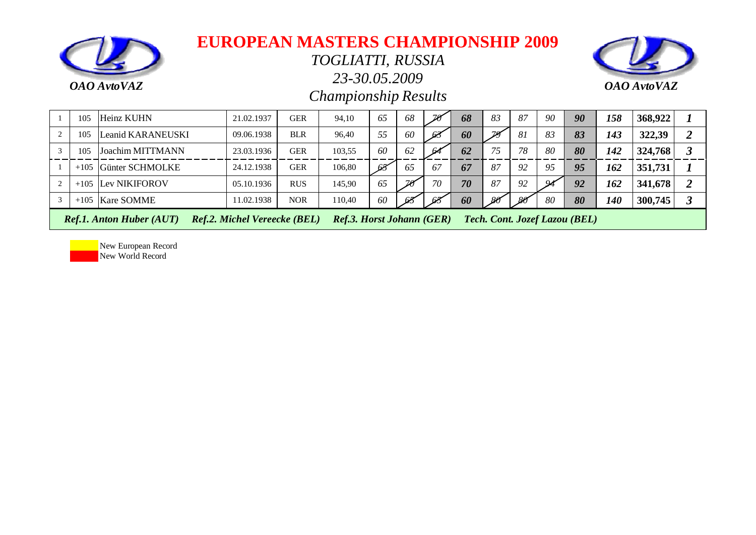

*TOGLIATTI, RUSSIA*

*23-30.05.2009*



*Championship Results*

| 105 | Heinz KUHN                      | 21.02.1937                          | <b>GER</b> | 94.10                            | 65 | 68 |     | 68 | 83 | 87              | 90 | 90                            | 158        | 368,922 |  |
|-----|---------------------------------|-------------------------------------|------------|----------------------------------|----|----|-----|----|----|-----------------|----|-------------------------------|------------|---------|--|
| 105 | Leanid KARANEUSKI               | 09.06.1938                          | <b>BLR</b> | 96,40                            | 55 | 60 | -63 | 60 |    | 81              | 83 | 83                            | 143        | 322,39  |  |
| 105 | Joachim MITTMANN                | 23.03.1936                          | <b>GER</b> | 103,55                           | 60 | 62 | 64  | 62 | 75 | 78              | 80 | 80                            | 142        | 324,768 |  |
|     | $+105$ Günter SCHMOLKE          | 24.12.1938                          | <b>GER</b> | 106.80                           | 68 | 65 | 67  | 67 | 87 | 92              | 95 | 95                            | 162        | 351,731 |  |
|     | $+105$ Lev NIKIFOROV            | 05.10.1936                          | <b>RUS</b> | 145,90                           | 65 |    | 70  | 70 | 87 | 92              | ശ  | 92                            | 162        | 341,678 |  |
|     | $+105$ Kare SOMME               | 11.02.1938                          | <b>NOR</b> | 110.40                           | 60 | 64 | 68  | 60 |    | 80 <sup>°</sup> | 80 | 80                            | <i>140</i> | 300,745 |  |
|     | <b>Ref.1. Anton Huber (AUT)</b> | <b>Ref.2. Michel Vereecke (BEL)</b> |            | <b>Ref.3. Horst Johann (GER)</b> |    |    |     |    |    |                 |    | Tech. Cont. Jozef Lazou (BEL) |            |         |  |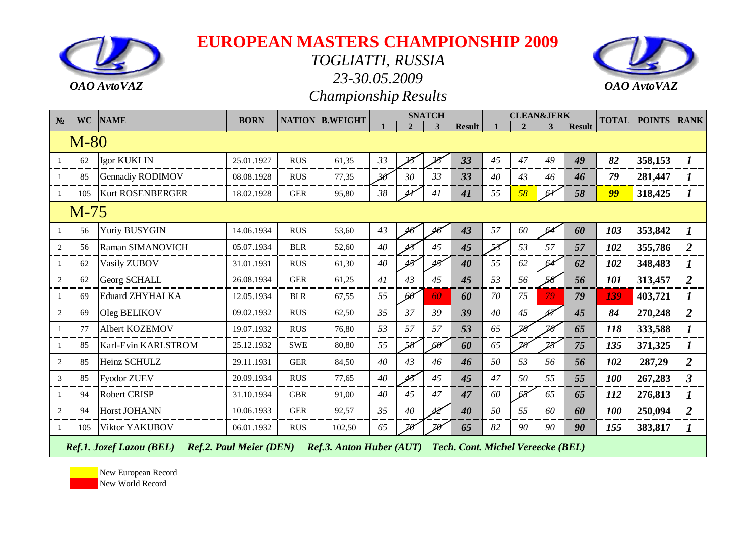

*TOGLIATTI, RUSSIA*

*23-30.05.2009*



*Championship Results*

| $N_2$ | <b>WC</b> | <b>NAME</b>              | <b>BORN</b>                    | <b>NATION</b> | <b>B.WEIGHT</b>                 |    |                | <b>SNATCH</b> |                                          |    | <b>CLEAN&amp;JERK</b> |    |               | <b>TOTAL</b> | <b>POINTS</b> | <b>RANK</b>    |
|-------|-----------|--------------------------|--------------------------------|---------------|---------------------------------|----|----------------|---------------|------------------------------------------|----|-----------------------|----|---------------|--------------|---------------|----------------|
|       |           |                          |                                |               |                                 |    | $\overline{2}$ | $\mathbf{3}$  | <b>Result</b>                            |    | $\mathcal{D}_{\cdot}$ | 3  | <b>Result</b> |              |               |                |
|       | $M-80$    |                          |                                |               |                                 |    |                |               |                                          |    |                       |    |               |              |               |                |
| -1    | 62        | Igor KUKLIN              | 25.01.1927                     | <b>RUS</b>    | 61,35                           | 33 |                | 38            | 33                                       | 45 | 47                    | 49 | 49            | 82           | 358,153       | $\bm{l}$       |
| -1    | 85        | <b>Gennadiy RODIMOV</b>  | 08.08.1928                     | <b>RUS</b>    | 77,35                           | 36 | 30             | 33            | 33                                       | 40 | 43                    | 46 | 46            | 79           | 281,447       |                |
| -1    | 105       | <b>Kurt ROSENBERGER</b>  | 18.02.1928                     | <b>GER</b>    | 95,80                           | 38 |                | 41            | 41                                       | 55 | 58                    | 61 | 58            | 99           | 318,425       |                |
|       | M-75      |                          |                                |               |                                 |    |                |               |                                          |    |                       |    |               |              |               |                |
| -1    | 56        | Yuriy BUSYGIN            | 14.06.1934                     | <b>RUS</b>    | 53,60                           | 43 |                |               | 43                                       | 57 | 60                    | 64 | 60            | 103          | 353,842       | $\bm{l}$       |
| 2     | 56        | Raman SIMANOVICH         | 05.07.1934                     | <b>BLR</b>    | 52,60                           | 40 |                | 45            | 45                                       |    | 53                    | 57 | 57            | 102          | 355,786       | $\overline{2}$ |
| -1    | 62        | Vasily ZUBOV             | 31.01.1931                     | <b>RUS</b>    | 61,30                           | 40 |                | 48            | 40                                       | 55 | 62                    | 64 | 62            | 102          | 348,483       |                |
| 2     | 62        | Georg SCHALL             | 26.08.1934                     | <b>GER</b>    | 61,25                           | 41 | 43             | 45            | 45                                       | 53 | 56                    |    | 56            | 101          | 313,457       | $\overline{2}$ |
| -1    | 69        | <b>Eduard ZHYHALKA</b>   | 12.05.1934                     | <b>BLR</b>    | 67,55                           | 55 | 60             | 60            | 60                                       | 70 | 75                    | 79 | 79            | 139          | 403,721       | 1              |
| 2     | 69        | Oleg BELIKOV             | 09.02.1932                     | <b>RUS</b>    | 62,50                           | 35 | 37             | 39            | 39                                       | 40 | 45                    |    | 45            | 84           | 270,248       | $\overline{2}$ |
| -1    | 77        | Albert KOZEMOV           | 19.07.1932                     | <b>RUS</b>    | 76,80                           | 53 | 57             | 57            | 53                                       | 65 | 70                    | 76 | 65            | 118          | 333,588       | $\bm{l}$       |
| 1     | 85        | Karl-Evin KARLSTROM      | 25.12.1932                     | <b>SWE</b>    | 80,80                           | 55 | 58             | $60^{\circ}$  | 60                                       | 65 | $70^{\circ}$          | 28 | 75            | 135          | 371,325       | 1              |
| 2     | 85        | Heinz SCHULZ             | 29.11.1931                     | <b>GER</b>    | 84,50                           | 40 | 43             | 46            | 46                                       | 50 | 53                    | 56 | 56            | 102          | 287,29        | $\overline{2}$ |
| 3     | 85        | <b>Fyodor ZUEV</b>       | 20.09.1934                     | <b>RUS</b>    | 77,65                           | 40 | حمك            | 45            | 45                                       | 47 | 50                    | 55 | 55            | 100          | 267,283       | $\mathbf{3}$   |
| -1    | 94        | <b>Robert CRISP</b>      | 31.10.1934                     | <b>GBR</b>    | 91,00                           | 40 | 45             | 47            | 47                                       | 60 | 68                    | 65 | 65            | 112          | 276,813       | 1              |
| 2     | 94        | Horst JOHANN             | 10.06.1933                     | <b>GER</b>    | 92,57                           | 35 | 40             |               | 40                                       | 50 | 55                    | 60 | 60            | 100          | 250,094       | $\overline{2}$ |
| -1    | 105       | <b>Viktor YAKUBOV</b>    | 06.01.1932                     | <b>RUS</b>    | 102,50                          | 65 | 20             | 20            | 65                                       | 82 | 90                    | 90 | 90            | 155          | 383,817       | 1              |
|       |           | Ref.1. Jozef Lazou (BEL) | <b>Ref.2. Paul Meier (DEN)</b> |               | <b>Ref.3. Anton Huber (AUT)</b> |    |                |               | <b>Tech. Cont. Michel Vereecke (BEL)</b> |    |                       |    |               |              |               |                |

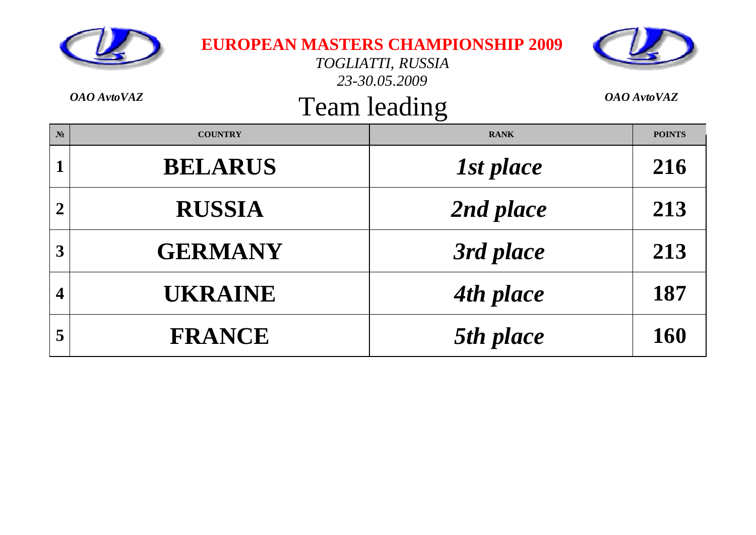|                | OAO AvtoVAZ    | <b>EUROPEAN MASTERS CHAMPIONSHIP 2009</b><br>TOGLIATTI, RUSSIA<br>23-30.05.2009<br>Team leading | <b>OAO</b> AvtoVAZ |
|----------------|----------------|-------------------------------------------------------------------------------------------------|--------------------|
| $N_2$          | <b>COUNTRY</b> | <b>RANK</b>                                                                                     | <b>POINTS</b>      |
| 1              | <b>BELARUS</b> | 1st place                                                                                       | 216                |
| $\overline{2}$ | <b>RUSSIA</b>  | 2nd place                                                                                       | 213                |
| 3              | <b>GERMANY</b> | 3rd place                                                                                       | 213                |
| 4              | <b>UKRAINE</b> | 4th place                                                                                       | 187                |
| 5              | <b>FRANCE</b>  | 5th place                                                                                       | 160                |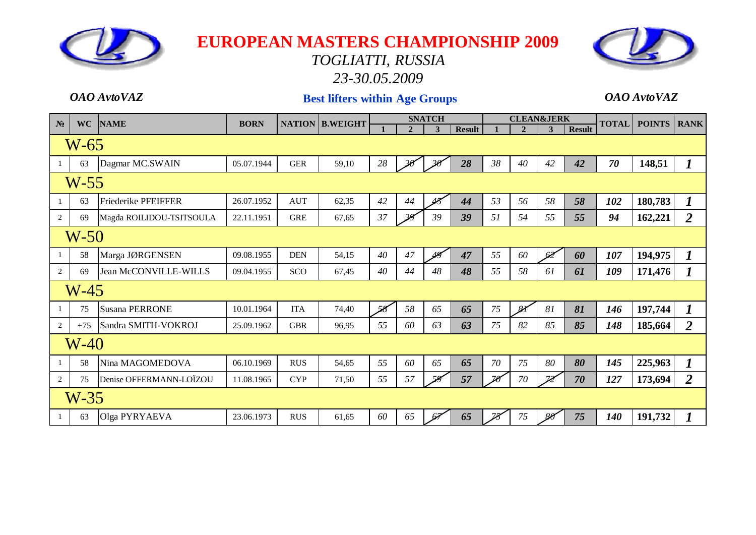

# *TOGLIATTI, RUSSIA*

*23-30.05.2009*

#### *OAO AvtoVAZ* **Best lifters within Age Groups** *OAO AvtoVAZ*

| N <sub>2</sub> | <b>WC</b> | <b>NAME</b>                | <b>BORN</b> |            | <b>NATION B.WEIGHT</b> |    |                | <b>SNATCH</b>      |               |    |               | <b>CLEAN&amp;JERK</b> |               | <b>TOTAL</b> | <b>POINTS</b> | <b>RANK</b>      |
|----------------|-----------|----------------------------|-------------|------------|------------------------|----|----------------|--------------------|---------------|----|---------------|-----------------------|---------------|--------------|---------------|------------------|
|                |           |                            |             |            |                        |    | $\overline{2}$ | 3                  | <b>Result</b> |    | $\mathbf{2}$  | 3                     | <b>Result</b> |              |               |                  |
|                | $W-65$    |                            |             |            |                        |    |                |                    |               |    |               |                       |               |              |               |                  |
|                | 63        | Dagmar MC.SWAIN            | 05.07.1944  | <b>GER</b> | 59,10                  | 28 | 36             | $30^{\circ}$       | 28            | 38 | 40            | 42                    | 42            | 70           | 148,51        | $\boldsymbol{l}$ |
|                | $W-55$    |                            |             |            |                        |    |                |                    |               |    |               |                       |               |              |               |                  |
|                | 63        | <b>Friederike PFEIFFER</b> | 26.07.1952  | <b>AUT</b> | 62,35                  | 42 | 44             | $\boldsymbol{\mu}$ | 44            | 53 | 56            | 58                    | 58            | 102          | 180,783       | $\boldsymbol{l}$ |
| 2              | 69        | Magda ROILIDOU-TSITSOULA   | 22.11.1951  | <b>GRE</b> | 67,65                  | 37 | $\overline{2}$ | 39                 | 39            | 51 | 54            | 55                    | 55            | 94           | 162,221       | $\overline{2}$   |
|                | $W-50$    |                            |             |            |                        |    |                |                    |               |    |               |                       |               |              |               |                  |
|                | 58        | Marga JØRGENSEN            | 09.08.1955  | <b>DEN</b> | 54,15                  | 40 | 47             | 49                 | 47            | 55 | 60            | 62                    | 60            | 107          | 194,975       | 1                |
| 2              | 69        | Jean McCONVILLE-WILLS      | 09.04.1955  | SCO        | 67,45                  | 40 | 44             | 48                 | 48            | 55 | 58            | 61                    | 61            | 109          | 171,476       | $\boldsymbol{l}$ |
|                | $W-45$    |                            |             |            |                        |    |                |                    |               |    |               |                       |               |              |               |                  |
|                | 75        | <b>Susana PERRONE</b>      | 10.01.1964  | <b>ITA</b> | 74,40                  | 58 | 58             | 65                 | 65            | 75 | $\mathcal{S}$ | 81                    | 81            | 146          | 197,744       |                  |
| 2              | $+75$     | Sandra SMITH-VOKROJ        | 25.09.1962  | <b>GBR</b> | 96,95                  | 55 | 60             | 63                 | 63            | 75 | 82            | 85                    | 85            | 148          | 185,664       | $\overline{2}$   |
|                | $W-40$    |                            |             |            |                        |    |                |                    |               |    |               |                       |               |              |               |                  |
|                | 58        | Nina MAGOMEDOVA            | 06.10.1969  | <b>RUS</b> | 54,65                  | 55 | 60             | 65                 | 65            | 70 | 75            | 80                    | 80            | 145          | 225,963       | $\bm{l}$         |
| 2              | 75        | Denise OFFERMANN-LOÏZOU    | 11.08.1965  | <b>CYP</b> | 71,50                  | 55 | 57             | 59                 | 57            | 79 | 70            | $\mathbb{Z}$          | 70            | 127          | 173,694       | $\overline{2}$   |
|                | $W-35$    |                            |             |            |                        |    |                |                    |               |    |               |                       |               |              |               |                  |
|                | 63        | Olga PYRYAEVA              | 23.06.1973  | <b>RUS</b> | 61,65                  | 60 | 65             | 64                 | 65            | 78 | 75            | 80                    | 75            | <b>140</b>   | 191,732       |                  |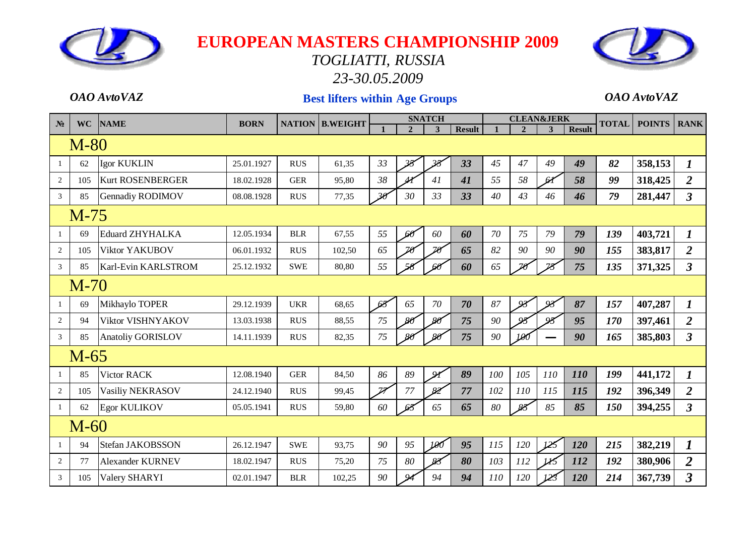

#### *TOGLIATTI, RUSSIA 23-30.05.2009*



#### *OAO AvtoVAZ* **Best lifters within Age Groups** *OAO AvtoVAZ*

| $N_2$          | <b>WC</b> | <b>NAME</b>              | <b>BORN</b> |            | <b>NATION B.WEIGHT</b> |                         |                          | <b>SNATCH</b>            |               |     | <b>CLEAN&amp;JERK</b> |               |               | <b>TOTAL</b> | <b>POINTS</b> | <b>RANK</b>          |
|----------------|-----------|--------------------------|-------------|------------|------------------------|-------------------------|--------------------------|--------------------------|---------------|-----|-----------------------|---------------|---------------|--------------|---------------|----------------------|
|                |           |                          |             |            |                        |                         | $\overline{2}$           | 3                        | <b>Result</b> |     | $\overline{2}$        | 3             | <b>Result</b> |              |               |                      |
|                | $M-80$    |                          |             |            |                        |                         |                          |                          |               |     |                       |               |               |              |               |                      |
| -1             | 62        | <b>Igor KUKLIN</b>       | 25.01.1927  | <b>RUS</b> | 61,35                  | 33                      |                          | $\overline{\mathcal{B}}$ | 33            | 45  | 47                    | 49            | 49            | 82           | 358,153       | $\boldsymbol{I}$     |
| 2              | 105       | <b>Kurt ROSENBERGER</b>  | 18.02.1928  | <b>GER</b> | 95,80                  | 38                      | $\overline{\mathcal{U}}$ | 41                       | 41            | 55  | 58                    | 61            | 58            | 99           | 318,425       | $\overline{2}$       |
| 3              | 85        | Gennadiy RODIMOV         | 08.08.1928  | <b>RUS</b> | 77,35                  | $\mathbf{2}$            | 30                       | 33                       | 33            | 40  | 43                    | 46            | 46            | 79           | 281,447       | $\mathfrak{Z}$       |
|                | $M-75$    |                          |             |            |                        |                         |                          |                          |               |     |                       |               |               |              |               |                      |
|                | 69        | <b>Eduard ZHYHALKA</b>   | 12.05.1934  | <b>BLR</b> | 67,55                  | 55                      | 60                       | 60                       | 60            | 70  | 75                    | 79            | 79            | 139          | 403,721       | $\bm{l}$             |
| $\overline{c}$ | 105       | Viktor YAKUBOV           | 06.01.1932  | <b>RUS</b> | 102,50                 | 65                      | $\mathbb{Z}$             | 70                       | 65            | 82  | 90                    | 90            | 90            | 155          | 383,817       | $\overline{2}$       |
| 3              | 85        | Karl-Evin KARLSTROM      | 25.12.1932  | <b>SWE</b> | 80,80                  | 55                      |                          |                          | 60            | 65  |                       | $\mathbb{Z}$  | 75            | 135          | 371,325       | $\mathfrak{Z}$       |
|                | $M-70$    |                          |             |            |                        |                         |                          |                          |               |     |                       |               |               |              |               |                      |
|                | 69        | Mikhaylo TOPER           | 29.12.1939  | <b>UKR</b> | 68,65                  | 68                      | 65                       | 70                       | 70            | 87  | آملی                  | $\mathcal{Q}$ | 87            | 157          | 407,287       | $\boldsymbol{I}$     |
| $\overline{c}$ | 94        | Viktor VISHNYAKOV        | 13.03.1938  | <b>RUS</b> | 88,55                  | 75                      | $80^{\circ}$             | $\cancel{80}$            | 75            | 90  |                       | $\alpha$      | 95            | 170          | 397,461       | $\overline{2}$       |
| 3              | 85        | <b>Anatoliy GORISLOV</b> | 14.11.1939  | <b>RUS</b> | 82,35                  | 75                      |                          | $80^{\circ}$             | 75            | 90  | 190                   |               | 90            | 165          | 385,803       | $\mathbf{3}$         |
|                | $M-65$    |                          |             |            |                        |                         |                          |                          |               |     |                       |               |               |              |               |                      |
| -1             | 85        | Victor RACK              | 12.08.1940  | <b>GER</b> | 84,50                  | 86                      | 89                       | $\mathbf{Q}$             | 89            | 100 | 105                   | 110           | 110           | 199          | 441,172       | $\boldsymbol{I}$     |
| 2              | 105       | Vasiliy NEKRASOV         | 24.12.1940  | <b>RUS</b> | 99,45                  | $\overline{\mathbb{Z}}$ | 77                       | 82                       | 77            | 102 | 110                   | 115           | 115           | 192          | 396,349       | $\overline{2}$       |
| -1             | 62        | <b>Egor KULIKOV</b>      | 05.05.1941  | <b>RUS</b> | 59,80                  | 60                      | 6                        | 65                       | 65            | 80  | 88                    | 85            | 85            | 150          | 394,255       | $\mathbf{3}$         |
|                | $M-60$    |                          |             |            |                        |                         |                          |                          |               |     |                       |               |               |              |               |                      |
| $\overline{1}$ | 94        | Stefan JAKOBSSON         | 26.12.1947  | <b>SWE</b> | 93,75                  | 90                      | 95                       | 100                      | 95            | 115 | 120                   | 125           | 120           | 215          | 382,219       | $\boldsymbol{l}$     |
| 2              | 77        | <b>Alexander KURNEV</b>  | 18.02.1947  | <b>RUS</b> | 75,20                  | 75                      | 80                       | 83                       | 80            | 103 | 112                   |               | 112           | 192          | 380,906       | $\overline{2}$       |
| 3              | 105       | Valery SHARYI            | 02.01.1947  | <b>BLR</b> | 102,25                 | 90                      |                          | 94                       | 94            | 110 | 120                   |               | 120           | 214          | 367,739       | $\boldsymbol{\beta}$ |